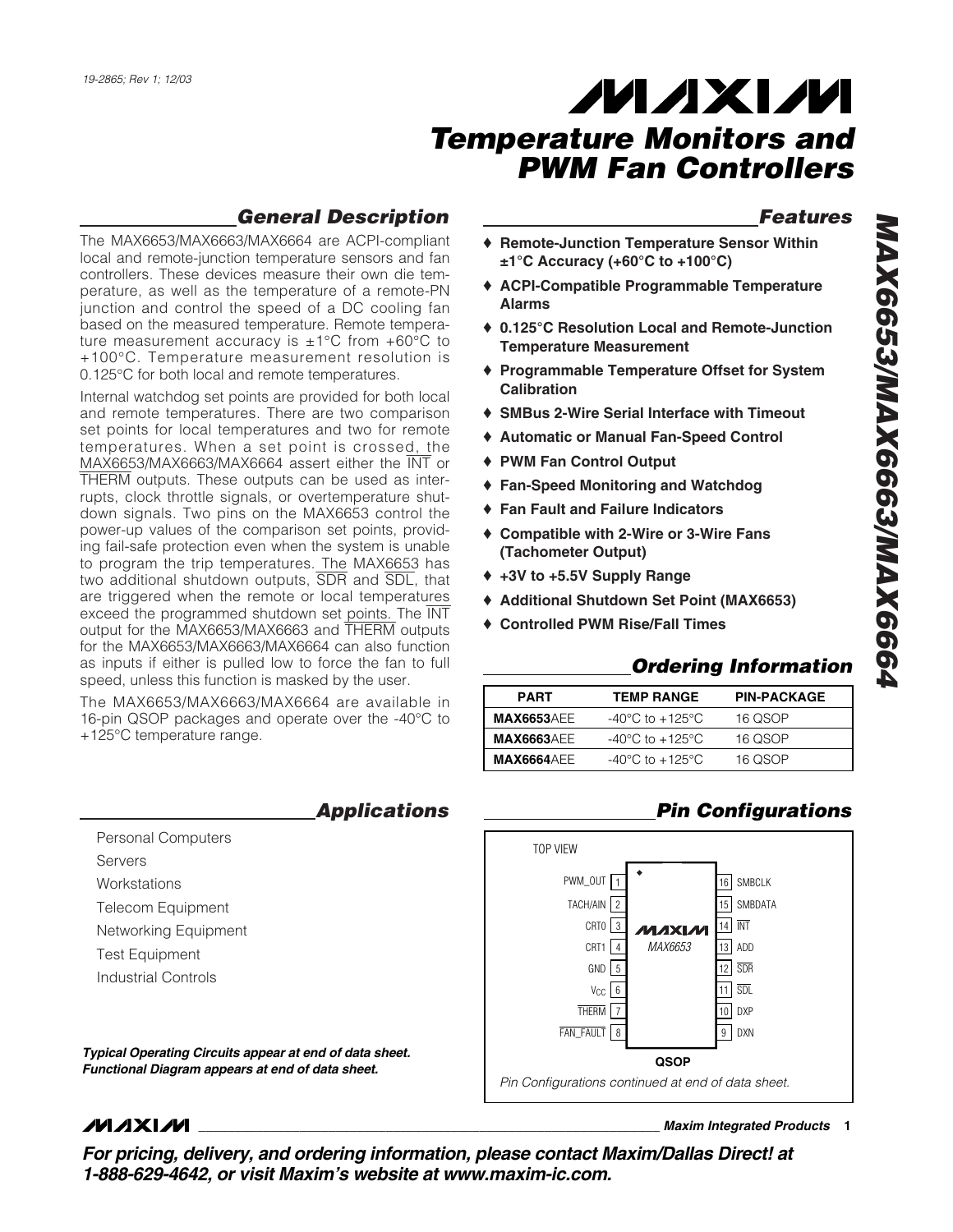### *General Description*

The MAX6653/MAX6663/MAX6664 are ACPI-compliant local and remote-junction temperature sensors and fan controllers. These devices measure their own die temperature, as well as the temperature of a remote-PN junction and control the speed of a DC cooling fan based on the measured temperature. Remote temperature measurement accuracy is  $\pm 1^{\circ}$ C from  $+60^{\circ}$ C to +100°C. Temperature measurement resolution is 0.125°C for both local and remote temperatures.

Internal watchdog set points are provided for both local and remote temperatures. There are two comparison set points for local temperatures and two for remote temperatures. When a set point is crossed, the MAX6653/MAX6663/MAX6664 assert either the INT or THERM outputs. These outputs can be used as interrupts, clock throttle signals, or overtemperature shutdown signals. Two pins on the MAX6653 control the power-up values of the comparison set points, providing fail-safe protection even when the system is unable to program the trip temperatures. The MAX6653 has two additional shutdown outputs, SDR and SDL, that are triggered when the remote or local temperatures exceed the programmed shutdown set points. The INT output for the MAX6653/MAX6663 and THERM outputs for the MAX6653/MAX6663/MAX6664 can also function as inputs if either is pulled low to force the fan to full speed, unless this function is masked by the user.

The MAX6653/MAX6663/MAX6664 are available in 16-pin QSOP packages and operate over the -40°C to +125°C temperature range.

|                          | <b>Applications</b> |
|--------------------------|---------------------|
| Personal Computers       |                     |
| Servers                  |                     |
| Workstations             |                     |
| <b>Telecom Equipment</b> |                     |
| Networking Equipment     |                     |
| <b>Test Equipment</b>    |                     |
| Industrial Controls      |                     |
|                          |                     |

*Typical Operating Circuits appear at end of data sheet. Functional Diagram appears at end of data sheet.*

#### *Features*

- ♦ **Remote-Junction Temperature Sensor Within ±1°C Accuracy (+60°C to +100°C)**
- ♦ **ACPI-Compatible Programmable Temperature Alarms**
- ♦ **0.125°C Resolution Local and Remote-Junction Temperature Measurement**
- ♦ **Programmable Temperature Offset for System Calibration**
- ♦ **SMBus 2-Wire Serial Interface with Timeout**
- ♦ **Automatic or Manual Fan-Speed Control**
- ♦ **PWM Fan Control Output**
- ♦ **Fan-Speed Monitoring and Watchdog**
- ♦ **Fan Fault and Failure Indicators**
- ♦ **Compatible with 2-Wire or 3-Wire Fans (Tachometer Output)**
- ♦ **+3V to +5.5V Supply Range**
- ♦ **Additional Shutdown Set Point (MAX6653)**
- ♦ **Controlled PWM Rise/Fall Times**

### *Ordering Information*

| <b>PART</b>        | <b>TEMP RANGE</b>                   | <b>PIN-PACKAGE</b> |
|--------------------|-------------------------------------|--------------------|
| <b>MAX6653AEE</b>  | $-40^{\circ}$ C to $+125^{\circ}$ C | 16 QSOP            |
| <b>MAX6663AEE</b>  | $-40^{\circ}$ C to $+125^{\circ}$ C | 16 QSOP            |
| <b>MAX6664</b> AEE | -40°C to +125°C                     | 16 OSOP            |

### *Pin Configurations*



### **MAXIM**

**\_\_\_\_\_\_\_\_\_\_\_\_\_\_\_\_\_\_\_\_\_\_\_\_\_\_\_\_\_\_\_\_\_\_\_\_\_\_\_\_\_\_\_\_\_\_\_\_\_\_\_\_\_\_\_\_\_\_\_\_\_\_\_\_** *Maxim Integrated Products* **1**

*For pricing, delivery, and ordering information, please contact Maxim/Dallas Direct! at 1-888-629-4642, or visit Maxim's website at www.maxim-ic.com.*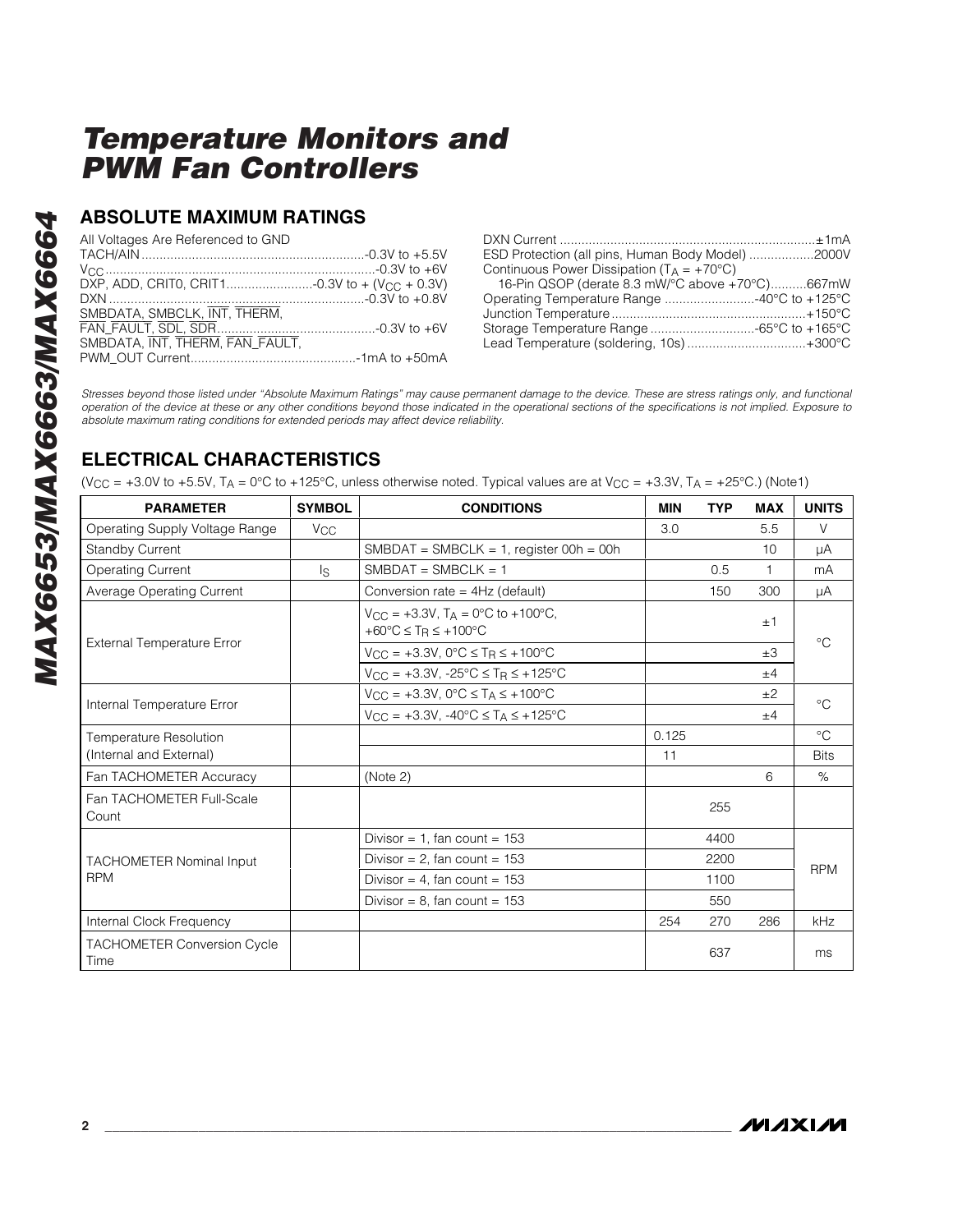#### **ABSOLUTE MAXIMUM RATINGS**

All Voltages Are Referenced to GND

| ESD Protection (all pins, Human Body Model) 2000V     |  |
|-------------------------------------------------------|--|
| Continuous Power Dissipation ( $T_A = +70^{\circ}C$ ) |  |
| 16-Pin QSOP (derate 8.3 mW/°C above +70°C)667mW       |  |
| Operating Temperature Range 40°C to +125°C            |  |
|                                                       |  |
| Storage Temperature Range -65°C to +165°C             |  |
| Lead Temperature (soldering, 10s) +300°C              |  |
|                                                       |  |

*Stresses beyond those listed under "Absolute Maximum Ratings" may cause permanent damage to the device. These are stress ratings only, and functional operation of the device at these or any other conditions beyond those indicated in the operational sections of the specifications is not implied. Exposure to absolute maximum rating conditions for extended periods may affect device reliability.*

### **ELECTRICAL CHARACTERISTICS**

(V<sub>CC</sub> = +3.0V to +5.5V, T<sub>A</sub> = 0°C to +125°C, unless otherwise noted. Typical values are at V<sub>CC</sub> = +3.3V, T<sub>A</sub> = +25°C.) (Note1)

| <b>PARAMETER</b>                           | <b>SYMBOL</b>         | <b>CONDITIONS</b>                                                                                                   | <b>MIN</b> | <b>TYP</b> | <b>MAX</b> | <b>UNITS</b> |  |
|--------------------------------------------|-----------------------|---------------------------------------------------------------------------------------------------------------------|------------|------------|------------|--------------|--|
| Operating Supply Voltage Range             | <b>V<sub>CC</sub></b> |                                                                                                                     | 3.0        |            | 5.5        | $\vee$       |  |
| <b>Standby Current</b>                     |                       | $SMBDAT = SMBCLK = 1$ , register 00h = 00h                                                                          |            |            | 10         | μA           |  |
| <b>Operating Current</b>                   | $\mathsf{ls}$         | $SMBDAT = SMBCLK = 1$                                                                                               |            | 0.5        | 1          | mA           |  |
| Average Operating Current                  |                       | Conversion rate = 4Hz (default)                                                                                     |            | 150        | 300        | μA           |  |
|                                            |                       | $V_{CC} = +3.3V$ , T <sub>A</sub> = 0°C to +100°C,<br>+60 $\degree$ C $\leq$ T <sub>R</sub> $\leq$ +100 $\degree$ C |            |            | ±1         |              |  |
| <b>External Temperature Error</b>          |                       | $V_{CC} = +3.3V, 0^{\circ}C \le T_R \le +100^{\circ}C$                                                              |            |            | $\pm 3$    | $^{\circ}$ C |  |
|                                            |                       | $V_{CC} = +3.3V, -25^{\circ}C \le T_R \le +125^{\circ}C$                                                            |            |            | ±4         |              |  |
|                                            |                       | $V_{CC} = +3.3V$ , $0^{\circ}C \leq T_A \leq +100^{\circ}C$                                                         |            |            | ±2         | $^{\circ}C$  |  |
| Internal Temperature Error                 |                       | $V_{CC} = +3.3V, -40^{\circ}C \leq T_A \leq +125^{\circ}C$                                                          |            |            | ±4         |              |  |
| Temperature Resolution                     |                       |                                                                                                                     | 0.125      |            |            | $^{\circ}C$  |  |
| (Internal and External)                    |                       |                                                                                                                     | 11         |            |            | <b>Bits</b>  |  |
| Fan TACHOMETER Accuracy                    |                       | (Note 2)                                                                                                            |            |            | 6          | $\%$         |  |
| Fan TACHOMETER Full-Scale<br>Count         |                       |                                                                                                                     |            | 255        |            |              |  |
|                                            |                       | Divisor = 1, fan count = $153$                                                                                      |            | 4400       |            |              |  |
| <b>TACHOMETER Nominal Input</b>            |                       | Divisor = $2$ , fan count = 153                                                                                     |            | 2200       |            |              |  |
| <b>RPM</b>                                 |                       | Divisor = 4, fan count = $153$                                                                                      |            | 1100       |            | <b>RPM</b>   |  |
|                                            |                       | Divisor = $8$ , fan count = $153$                                                                                   |            | 550        |            |              |  |
| Internal Clock Frequency                   |                       |                                                                                                                     | 254        | 270        | 286        | kHz          |  |
| <b>TACHOMETER Conversion Cycle</b><br>Time |                       |                                                                                                                     |            | 637        |            | ms           |  |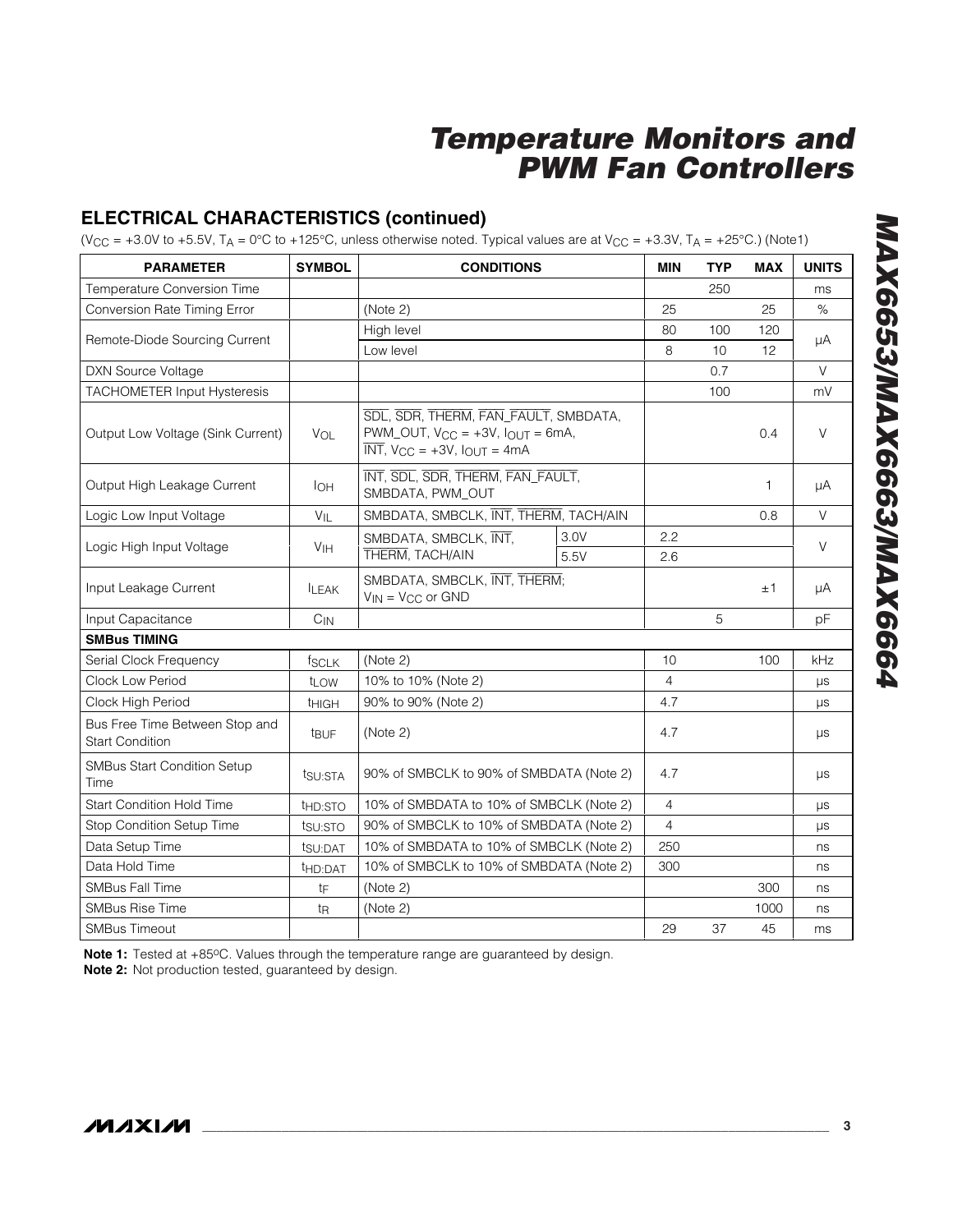### **ELECTRICAL CHARACTERISTICS (continued)**

(V<sub>CC</sub> = +3.0V to +5.5V, T<sub>A</sub> = 0°C to +125°C, unless otherwise noted. Typical values are at V<sub>CC</sub> = +3.3V, T<sub>A</sub> = +25°C.) (Note1)

| <b>PARAMETER</b>                                         | <b>SYMBOL</b>                              | <b>CONDITIONS</b>                                                                                                                                                  |      |                | <b>TYP</b> | <b>MAX</b> | <b>UNITS</b> |
|----------------------------------------------------------|--------------------------------------------|--------------------------------------------------------------------------------------------------------------------------------------------------------------------|------|----------------|------------|------------|--------------|
| Temperature Conversion Time                              |                                            |                                                                                                                                                                    |      |                | 250        |            | ms           |
| Conversion Rate Timing Error                             |                                            | (Note 2)                                                                                                                                                           |      |                |            | 25         | $\%$         |
|                                                          |                                            | High level                                                                                                                                                         |      | 80             | 100        | 120        |              |
| Remote-Diode Sourcing Current                            |                                            | Low level                                                                                                                                                          |      | 8              | 10         | 12         | μA           |
| <b>DXN Source Voltage</b>                                |                                            |                                                                                                                                                                    |      |                | 0.7        |            | $\vee$       |
| <b>TACHOMETER Input Hysteresis</b>                       |                                            |                                                                                                                                                                    |      |                | 100        |            | mV           |
| Output Low Voltage (Sink Current)                        | VOL                                        | SDL, SDR, THERM, FAN_FAULT, SMBDATA,<br>$PWM$ _OUT, $V_{CC} = +3V$ , $I_{OUT} = 6mA$ ,<br>$\overline{\text{INT}}$ , $V_{\text{CC}} = +3V$ , $I_{\text{OUT}} = 4mA$ |      |                |            | 0.4        | V            |
| Output High Leakage Current                              | <b>I</b> OH                                | INT, SDL, SDR, THERM, FAN_FAULT,<br>SMBDATA, PWM OUT                                                                                                               |      |                |            | 1          | μA           |
| Logic Low Input Voltage                                  | $V_{IL}$                                   | SMBDATA, SMBCLK, INT, THERM, TACH/AIN                                                                                                                              |      |                |            | 0.8        | $\vee$       |
|                                                          |                                            | SMBDATA, SMBCLK, INT,                                                                                                                                              | 3.0V | 2.2            |            |            | V            |
| Logic High Input Voltage                                 | V <sub>IH</sub><br>THERM, TACH/AIN<br>5.5V |                                                                                                                                                                    |      | 2.6            |            |            |              |
| Input Leakage Current                                    | <b>ILEAK</b>                               | SMBDATA, SMBCLK, INT, THERM;<br>$V_{IN} = V_{CC}$ or GND                                                                                                           |      |                |            | ±1         | μA           |
| Input Capacitance                                        | $C_{IN}$                                   |                                                                                                                                                                    |      |                | 5          |            | рF           |
| <b>SMBus TIMING</b>                                      |                                            |                                                                                                                                                                    |      |                |            |            |              |
| Serial Clock Frequency                                   | <b>fSCLK</b>                               | (Note 2)                                                                                                                                                           |      | 10             |            | 100        | kHz          |
| Clock Low Period                                         | t <sub>LOW</sub>                           | 10% to 10% (Note 2)                                                                                                                                                |      | $\overline{4}$ |            |            | $\mu s$      |
| Clock High Period                                        | <b>THIGH</b>                               | 90% to 90% (Note 2)                                                                                                                                                |      | 4.7            |            |            | <b>LIS</b>   |
| Bus Free Time Between Stop and<br><b>Start Condition</b> | <b>t</b> BUF                               | (Note 2)                                                                                                                                                           |      | 4.7            |            |            | $\mu s$      |
| <b>SMBus Start Condition Setup</b><br>Time               | tsu:STA                                    | 90% of SMBCLK to 90% of SMBDATA (Note 2)                                                                                                                           |      | 4.7            |            |            | $\mu s$      |
| <b>Start Condition Hold Time</b>                         | t <sub>HD:STO</sub>                        | 10% of SMBDATA to 10% of SMBCLK (Note 2)                                                                                                                           |      | $\overline{4}$ |            |            | μs           |
| Stop Condition Setup Time                                | tsu:STO                                    | 90% of SMBCLK to 10% of SMBDATA (Note 2)                                                                                                                           |      | $\overline{4}$ |            |            | $\mu s$      |
| Data Setup Time                                          | tsu:DAT                                    | 10% of SMBDATA to 10% of SMBCLK (Note 2)                                                                                                                           |      | 250            |            |            | ns           |
| Data Hold Time                                           | t <sub>HD:DAT</sub>                        | 10% of SMBCLK to 10% of SMBDATA (Note 2)                                                                                                                           |      | 300            |            |            | ns           |
| <b>SMBus Fall Time</b>                                   | tF                                         | (Note 2)                                                                                                                                                           |      |                |            | 300        | ns           |
| <b>SMBus Rise Time</b>                                   | t <sub>R</sub>                             | (Note 2)                                                                                                                                                           |      |                |            | 1000       | ns           |
| <b>SMBus Timeout</b>                                     |                                            |                                                                                                                                                                    |      | 29             | 37         | 45         | ms           |

Note 1: Tested at +85°C. Values through the temperature range are guaranteed by design. **Note 2:** Not production tested, guaranteed by design.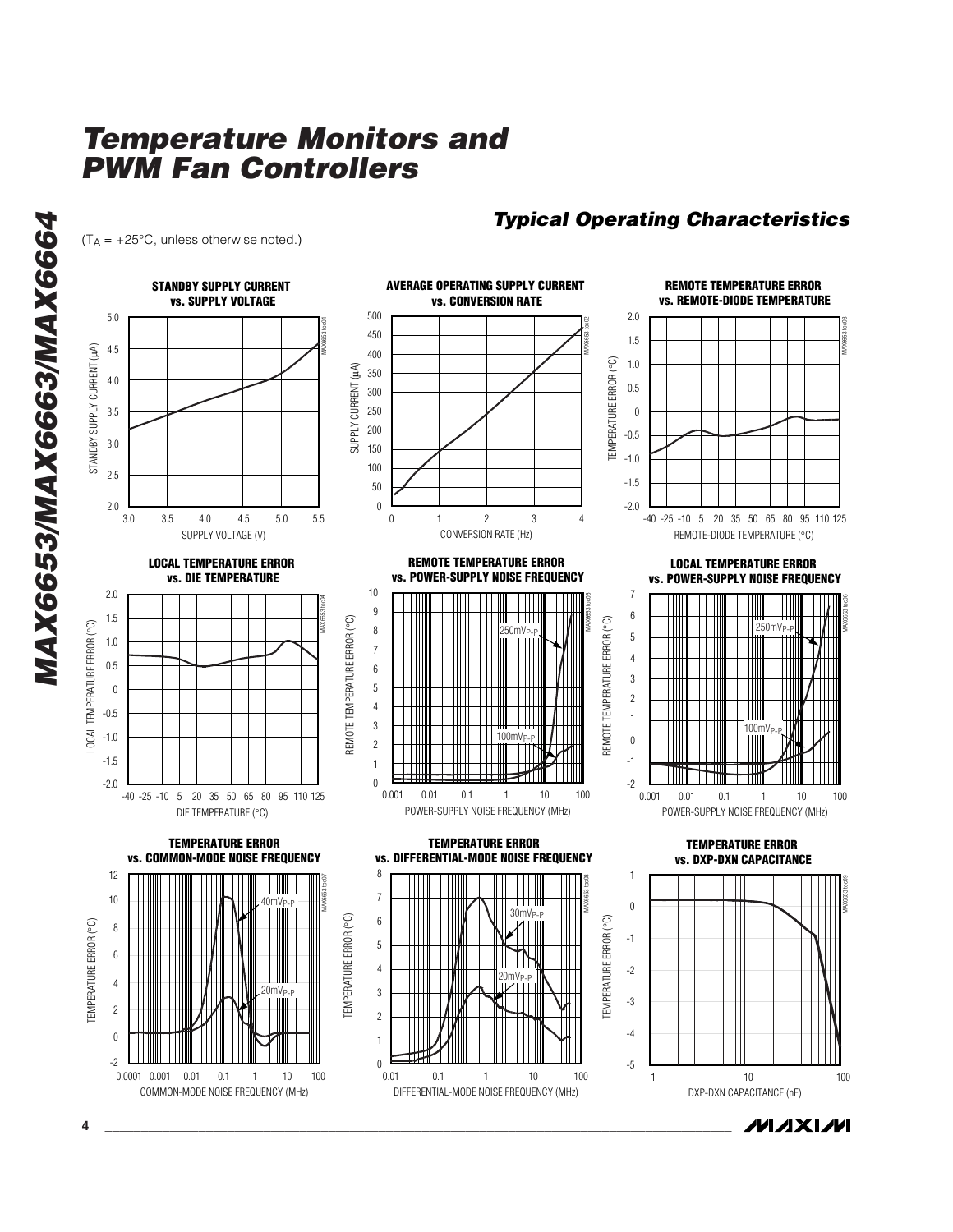$(T_A = +25^{\circ}C$ , unless otherwise noted.)

**AVERAGE OPERATING SUPPLY CURRENT STANDBY SUPPLY CURRENT REMOTE TEMPERATURE ERROR vs. CONVERSION RATE vs. REMOTE-DIODE TEMPERATURE vs. SUPPLY VOLTAGE** 500 2.0 5.0 500<br>450<br>400<br>350<br>300<br>250<br>250<br>150<br>50<br>50<br>0 MAX6653 toc02 MAX6653 toc03 MAX6653 toc01 450 1.5 STANDBY SUPPLY CURRENT (µA) 4.5 STANDBY SUPPLY CURRENT (µA) 400 (Ool TEMPERATURE ERROR (°C) 1.0 3 SUPPLY CURRENT (µA) 350 4.0 TEMPERATURE ERROR SUPPLY CURRENT 0.5 300 250  $0$ <br>-0.5 3.5 200 3.0 150 -1.0 100 2.5 -1.5 50  $\boldsymbol{0}$ 2.0 -2.0 1 2 3 -40 -25 -10 5 20 35 50 65 80 95 110 125 0 43.0 5.5 3.5 4.5 5.0 4.0 SUPPLY VOLTAGE (V) CONVERSION RATE (Hz) REMOTE-DIODE TEMPERATURE ( °C) **LOCAL TEMPERATURE ERROR REMOTE TEMPERATURE ERROR LOCAL TEMPERATURE ERROR vs. POWER-SUPPLY NOISE FREQUENCY vs. DIE TEMPERATURE vs. POWER-SUPPLY NOISE FREQUENCY**  $10$ 2.0 7 10 9 8 7 6 5 4 3 2 1 0 MAX6653 toc05 MAX6653 toc04  $\boldsymbol{9}$ 987654321  $6\phantom{a}$ 1.5 TH 654321 (၁**)** REMOTE TEMPERATURE ERROR (°C) REMOTE TEMPERATURE ERROR (°C) REMOTE TEMPERATURE ERROR (°C) TEMPERATURE ERROR (°C) LOCAL TEMPERATURE ERROR (°C)  $\,$  8  $\,$  $250mV$  $250mV_F$  $\overline{5}$ **TEMPERATURE ERROR** 1.0  $\overline{7}$  $\overline{4}$ 0.5  $\,6\,$  $\mathbf{3}$  $\overline{5}$  $0$ <br>-0.5  $\overline{c}$  $\overline{4}$  $\mathbf{1}$ REMOTE T  $\overline{3}$ LOCAL<sub>1</sub>  $00m$ -1.0  $100mV<sub>b</sub>$  $\begin{array}{c} 0 \\ -1 \end{array}$ 2 -1.5  $\mathbf{1}$ -2.0  $\Omega$ -2 -40 -25 -10 5 20 35 50 65 80 95 110 125 0.001 0.01 0.1 1 10 100 0.001 0.01 0.1 1 10 100 POWER-SUPPLY NOISE FREQUENCY (MHz) POWER-SUPPLY NOISE FREQUENCY (MHz) DIE TEMPERATURE ( °C) **TEMPERATURE ERROR TEMPERATURE ERROR TEMPERATURE ERROR vs. COMMON-MODE NOISE FREQUENCY vs. DIFFERENTIAL-MODE NOISE FREQUENCYvs. DXP-DXN CAPACITANCE** 12  $\,8\,$ 1 876543210 MAX6653 toc07 MAX6653 toc08  $\overline{7}$ 108 40mVP-P  $\boldsymbol{0}$  $0$ <br>-1  $30mV<sub>p</sub>$ **IEMPERATURE ERROR (°C)** TEMPERATURE ERROR (°C)  $6\phantom{a}$ ြ TEMPERATURE ERROR (°C) TEMPERATURE ERROR (°C) TEMPERATURE ERROR (°C) **TEMPERATURE ERROR**  $-1$  $\overline{5}$ 6  $\begin{array}{c} 6 \\ 4 \\ 2 \\ 0 \\ -2 \end{array}$  $\overline{4}$ -2 20mVP-P  $\overline{4}$  $\mathbf{3}$ 20mVP-P -3  $\overline{c}$  $\overline{c}$ -4  $\mathbf 0$  $\overline{1}$  $-2$  $\,0\,$ -5 0.0001 0.001 0.01 0.1 1 10 100 0.01 1 10 0.1 100 1 10 100 COMMON-MODE NOISE FREQUENCY (MHz) DIFFERENTIAL-MODE NOISE FREQUENCY (MHz) DXP-DXN CAPACITANCE (nF)

**MAXIM 4 \_\_\_\_\_\_\_\_\_\_\_\_\_\_\_\_\_\_\_\_\_\_\_\_\_\_\_\_\_\_\_\_\_\_\_\_\_\_\_\_\_\_\_\_\_\_\_\_\_\_\_\_\_\_\_\_\_\_\_\_\_\_\_\_\_\_\_\_\_\_\_\_\_\_\_\_\_\_\_\_\_\_\_\_\_\_\_**

MAX6653 toc06

MAX6653 toc09

*Typical Operating Characteristics*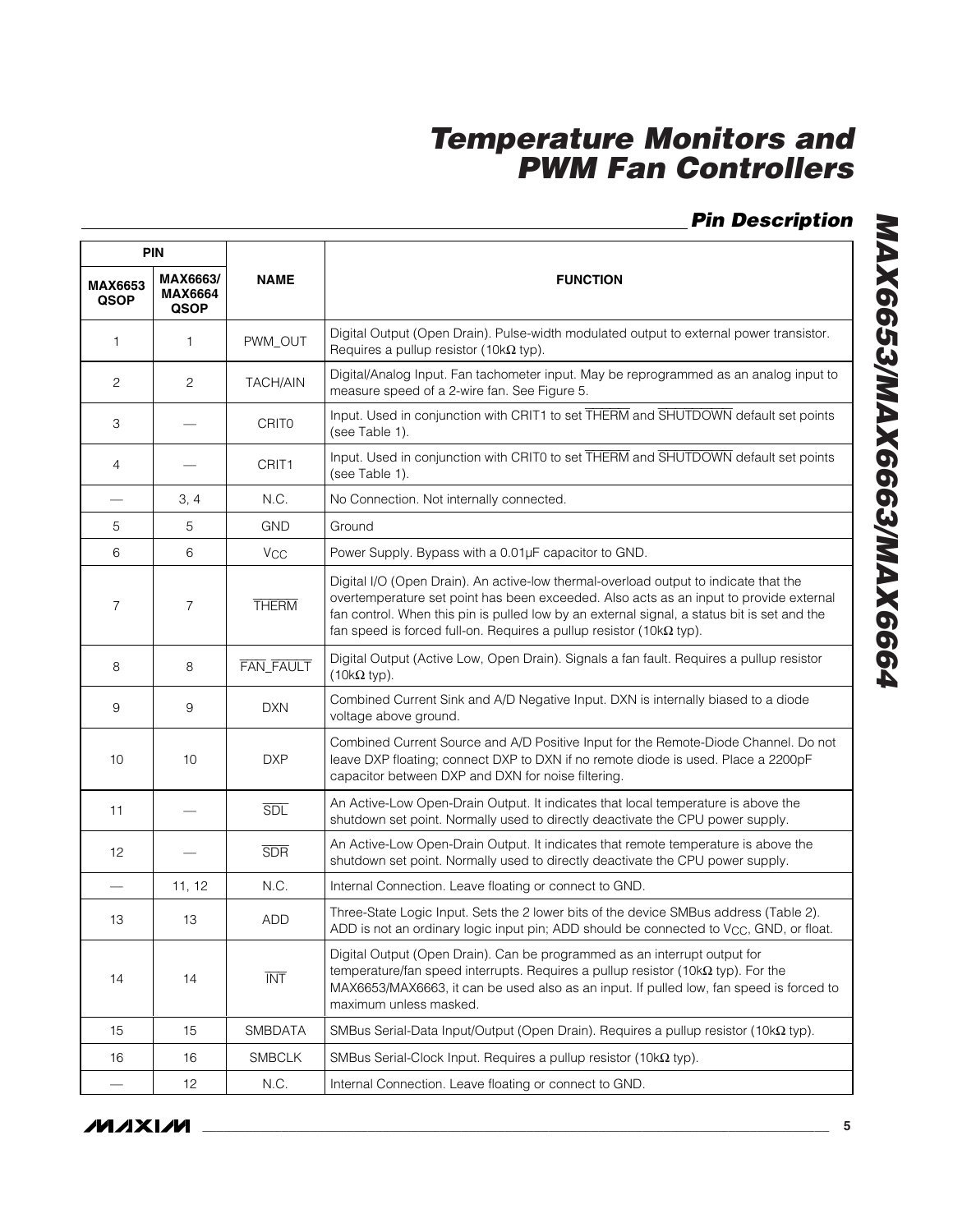### *Pin Description*

| <b>PIN</b>                    |                                                   |                       |                                                                                                                                                                                                                                                                                                                                                              |  |  |  |  |  |
|-------------------------------|---------------------------------------------------|-----------------------|--------------------------------------------------------------------------------------------------------------------------------------------------------------------------------------------------------------------------------------------------------------------------------------------------------------------------------------------------------------|--|--|--|--|--|
| <b>MAX6653</b><br><b>QSOP</b> | MAX6663/<br><b>NAME</b><br><b>MAX6664</b><br>QSOP |                       | <b>FUNCTION</b>                                                                                                                                                                                                                                                                                                                                              |  |  |  |  |  |
| 1                             | 1                                                 | PWM_OUT               | Digital Output (Open Drain). Pulse-width modulated output to external power transistor.<br>Requires a pullup resistor (10k $\Omega$ typ).                                                                                                                                                                                                                    |  |  |  |  |  |
| $\mathbf{2}$                  | 2                                                 | <b>TACH/AIN</b>       | Digital/Analog Input. Fan tachometer input. May be reprogrammed as an analog input to<br>measure speed of a 2-wire fan. See Figure 5.                                                                                                                                                                                                                        |  |  |  |  |  |
| 3                             |                                                   | <b>CRITO</b>          | Input. Used in conjunction with CRIT1 to set THERM and SHUTDOWN default set points<br>(see Table 1).                                                                                                                                                                                                                                                         |  |  |  |  |  |
| 4                             |                                                   | CRIT <sub>1</sub>     | Input. Used in conjunction with CRIT0 to set THERM and SHUTDOWN default set points<br>(see Table 1).                                                                                                                                                                                                                                                         |  |  |  |  |  |
|                               | 3, 4                                              | N.C.                  | No Connection. Not internally connected.                                                                                                                                                                                                                                                                                                                     |  |  |  |  |  |
| 5                             | 5                                                 | <b>GND</b>            | Ground                                                                                                                                                                                                                                                                                                                                                       |  |  |  |  |  |
| 6                             | 6                                                 | <b>V<sub>CC</sub></b> | Power Supply. Bypass with a 0.01µF capacitor to GND.                                                                                                                                                                                                                                                                                                         |  |  |  |  |  |
| $\overline{7}$                | $\overline{7}$                                    | <b>THERM</b>          | Digital I/O (Open Drain). An active-low thermal-overload output to indicate that the<br>overtemperature set point has been exceeded. Also acts as an input to provide external<br>fan control. When this pin is pulled low by an external signal, a status bit is set and the<br>fan speed is forced full-on. Requires a pullup resistor (10k $\Omega$ typ). |  |  |  |  |  |
| 8                             | 8                                                 | FAN_FAULT             | Digital Output (Active Low, Open Drain). Signals a fan fault. Requires a pullup resistor<br>$(10k\Omega$ typ).                                                                                                                                                                                                                                               |  |  |  |  |  |
| 9                             | 9                                                 | <b>DXN</b>            | Combined Current Sink and A/D Negative Input. DXN is internally biased to a diode<br>voltage above ground.                                                                                                                                                                                                                                                   |  |  |  |  |  |
| 10                            | 10                                                | <b>DXP</b>            | Combined Current Source and A/D Positive Input for the Remote-Diode Channel. Do not<br>leave DXP floating; connect DXP to DXN if no remote diode is used. Place a 2200pF<br>capacitor between DXP and DXN for noise filtering.                                                                                                                               |  |  |  |  |  |
| 11                            |                                                   | <b>SDL</b>            | An Active-Low Open-Drain Output. It indicates that local temperature is above the<br>shutdown set point. Normally used to directly deactivate the CPU power supply.                                                                                                                                                                                          |  |  |  |  |  |
| 12                            |                                                   | <b>SDR</b>            | An Active-Low Open-Drain Output. It indicates that remote temperature is above the<br>shutdown set point. Normally used to directly deactivate the CPU power supply.                                                                                                                                                                                         |  |  |  |  |  |
|                               | 11, 12                                            | N.C.                  | Internal Connection. Leave floating or connect to GND.                                                                                                                                                                                                                                                                                                       |  |  |  |  |  |
| 13                            | 13                                                | ADD                   | Three-State Logic Input. Sets the 2 lower bits of the device SMBus address (Table 2).<br>ADD is not an ordinary logic input pin; ADD should be connected to V <sub>CC</sub> , GND, or float.                                                                                                                                                                 |  |  |  |  |  |
| 14                            | 14                                                | <b>INT</b>            | Digital Output (Open Drain). Can be programmed as an interrupt output for<br>temperature/fan speed interrupts. Requires a pullup resistor (10k $\Omega$ typ). For the<br>MAX6653/MAX6663, it can be used also as an input. If pulled low, fan speed is forced to<br>maximum unless masked.                                                                   |  |  |  |  |  |
| 15                            | 15                                                | SMBDATA               | SMBus Serial-Data Input/Output (Open Drain). Requires a pullup resistor (10k $\Omega$ typ).                                                                                                                                                                                                                                                                  |  |  |  |  |  |
| 16                            | 16                                                | <b>SMBCLK</b>         | SMBus Serial-Clock Input. Requires a pullup resistor (10k $\Omega$ typ).                                                                                                                                                                                                                                                                                     |  |  |  |  |  |
|                               | 12                                                | N.C.                  | Internal Connection. Leave floating or connect to GND.                                                                                                                                                                                                                                                                                                       |  |  |  |  |  |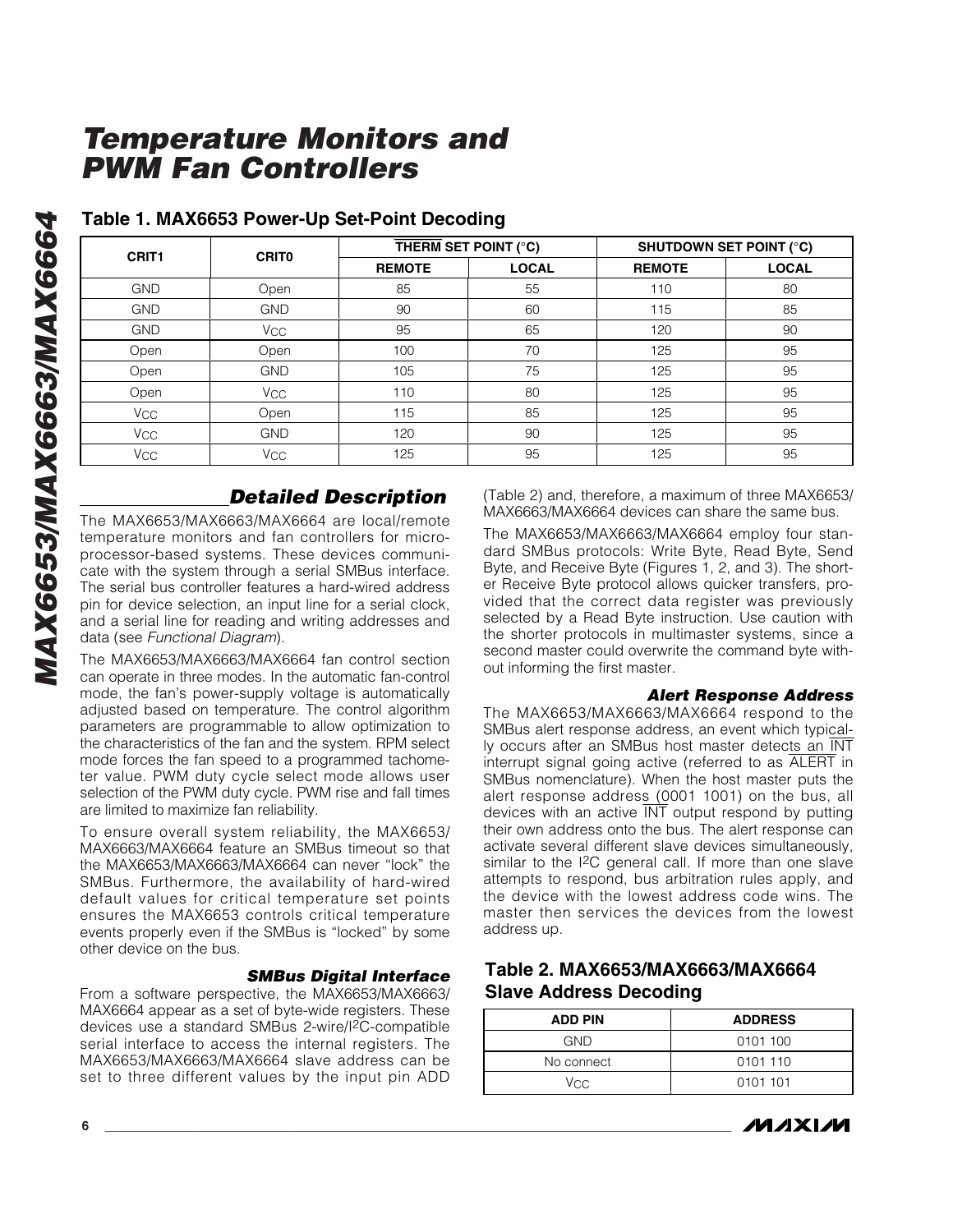|              | CRIT <sub>1</sub><br><b>CRITO</b> |               | THERM SET POINT (°C) | <b>SHUTDOWN SET POINT (°C)</b> |              |  |  |  |
|--------------|-----------------------------------|---------------|----------------------|--------------------------------|--------------|--|--|--|
|              |                                   | <b>REMOTE</b> | <b>LOCAL</b>         | <b>REMOTE</b>                  | <b>LOCAL</b> |  |  |  |
| <b>GND</b>   | Open                              | 85            | 55                   | 110                            | 80           |  |  |  |
| <b>GND</b>   | <b>GND</b>                        | 90            | 60                   | 115                            | 85           |  |  |  |
| <b>GND</b>   | <b>V<sub>CC</sub></b>             | 95            | 65                   | 120                            | 90           |  |  |  |
| Open         | Open                              | 100           | 70                   | 125                            | 95           |  |  |  |
| Open         | <b>GND</b>                        | 105           | 75                   | 125                            | 95           |  |  |  |
| Open         | Vcc                               | 110           | 80                   | 125                            | 95           |  |  |  |
| $V_{\rm CC}$ | Open                              | 115           | 85                   | 125                            | 95           |  |  |  |
| $V_{\rm CC}$ | <b>GND</b>                        | 120           | 90                   | 125                            | 95           |  |  |  |
| Vcc          | <b>V<sub>CC</sub></b>             | 125           | 95                   | 125                            | 95           |  |  |  |

#### **Table 1. MAX6653 Power-Up Set-Point Decoding**

### *Detailed Description*

The MAX6653/MAX6663/MAX6664 are local/remote temperature monitors and fan controllers for microprocessor-based systems. These devices communicate with the system through a serial SMBus interface. The serial bus controller features a hard-wired address pin for device selection, an input line for a serial clock, and a serial line for reading and writing addresses and data (see *Functional Diagram*).

The MAX6653/MAX6663/MAX6664 fan control section can operate in three modes. In the automatic fan-control mode, the fan 's power-supply voltage is automatically adjusted based on temperature. The control algorithm parameters are programmable to allow optimization to the characteristics of the fan and the system. RPM select mode forces the fan speed to a programmed tachometer value. PWM duty cycle select mode allows user selection of the PWM duty cycle. PWM rise and fall times are limited to maximize fan reliability.

To ensure overall system reliability, the MAX6653/ MAX6663/MAX6664 feature an SMBus timeout so that the MAX6653/MAX6663/MAX6664 can never "lock " the SMBus. Furthermore, the availability of hard-wired default values for critical temperature set points ensures the MAX6653 controls critical temperature events properly even if the SMBus is "locked " by some other device on the bus.

#### *SMBus Digital Interface*

From a software perspective, the MAX6653/MAX6663/ MAX6664 appear as a set of byte-wide registers. These devices use a standard SMBus 2-wire/I 2C-compatible serial interface to access the internal registers. The MAX6653/MAX6663/MAX6664 slave address can be set to three different values by the input pin ADD

(Table 2) and, therefore, a maximum of three MAX6653/ MAX6663/MAX6664 devices can share the same bus.

The MAX6653/MAX6663/MAX6664 employ four standard SMBus protocols: Write Byte, Read Byte, Send Byte, and Receive Byte (Figures 1, 2, and 3). The shorter Receive Byte protocol allows quicker transfers, provided that the correct data register was previously selected by a Read Byte instruction. Use caution with the shorter protocols in multimaster systems, since a second master could overwrite the command byte without informing the first master.

#### *Alert Response Address*

The MAX6653/MAX6663/MAX6664 respond to the SMBus alert response address, an event which typically occurs after an SMBus host master detects an INT interrupt signal going active (referred to as ALERT in SMBus nomenclature). When the host master puts the alert response address (0001 1001) on the bus, all devices with an active INT output respond by putting their own address onto the bus. The alert response can activate several different slave devices simultaneously, similar to the I<sup>2</sup>C general call. If more than one slave attempts to respond, bus arbitration rules apply, and the device with the lowest address code wins. The master then services the devices from the lowest address up.

#### **Table 2. MAX6653/MAX6663/MAX6664 Slave Address Decoding**

| <b>ADD PIN</b> | <b>ADDRESS</b> |
|----------------|----------------|
| <b>GND</b>     | 0101 100       |
| No connect     | 0101 110       |
| Vcc.           | 0101 101       |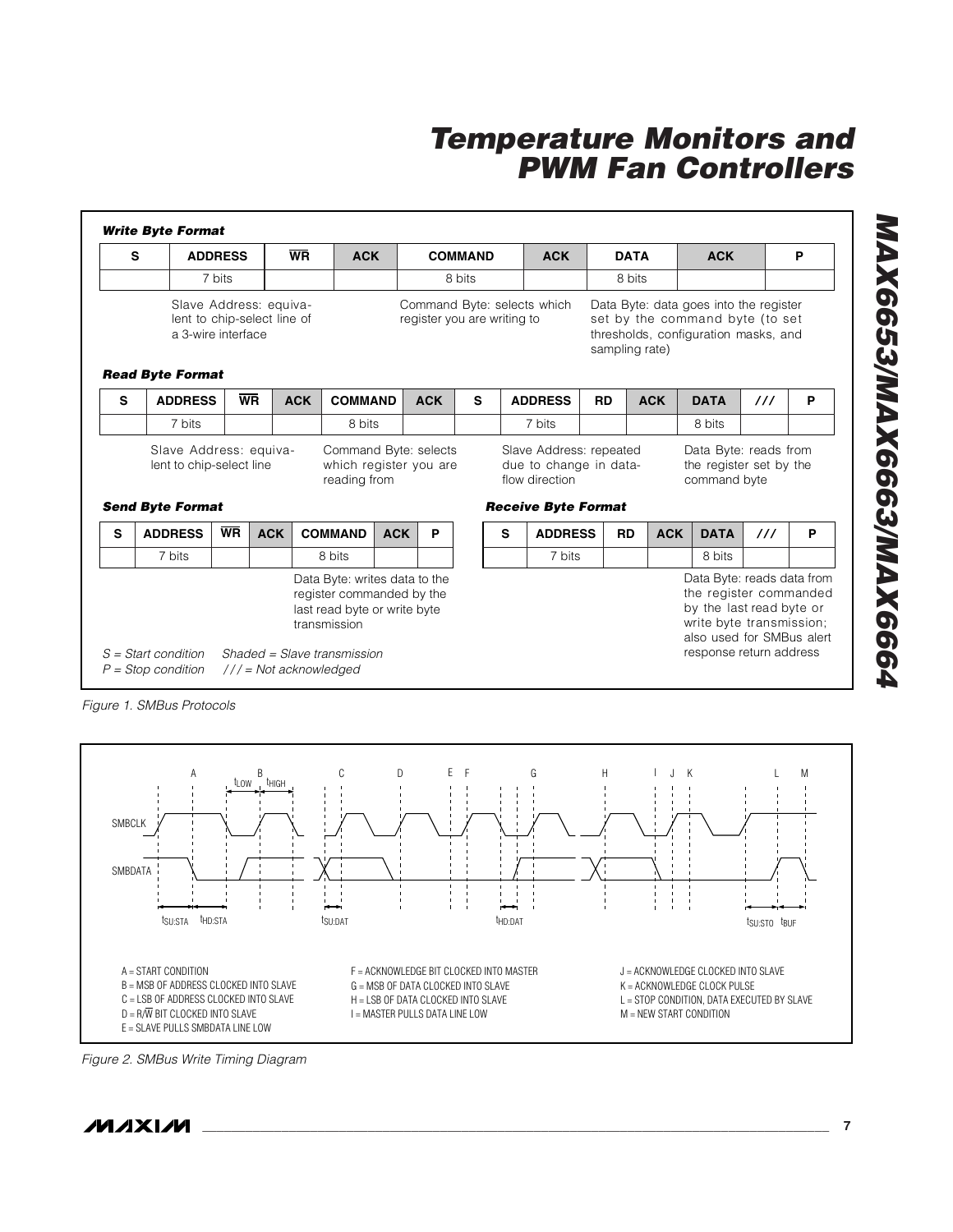| s |                                                                                                        | <b>ADDRESS</b> |            | <b>WR</b>                                                                                                                                 | <b>ACK</b><br><b>COMMAND</b> |            |                                                            |        | <b>ACK</b>                                                                                        | <b>DATA</b> |                | <b>ACK</b> |                                                                                                                                                                      |               | P |
|---|--------------------------------------------------------------------------------------------------------|----------------|------------|-------------------------------------------------------------------------------------------------------------------------------------------|------------------------------|------------|------------------------------------------------------------|--------|---------------------------------------------------------------------------------------------------|-------------|----------------|------------|----------------------------------------------------------------------------------------------------------------------------------------------------------------------|---------------|---|
|   |                                                                                                        | 7 bits         |            |                                                                                                                                           |                              |            | 8 bits                                                     | 8 bits |                                                                                                   |             |                |            |                                                                                                                                                                      |               |   |
|   | Slave Address: equiva-<br>lent to chip-select line of<br>a 3-wire interface<br><b>Read Byte Format</b> |                |            |                                                                                                                                           |                              |            | Command Byte: selects which<br>register you are writing to |        |                                                                                                   |             | sampling rate) |            | Data Byte: data goes into the register<br>set by the command byte (to set<br>thresholds, configuration masks, and                                                    |               |   |
| S | <b>ADDRESS</b>                                                                                         | <b>WR</b>      |            | <b>ACK</b><br><b>COMMAND</b>                                                                                                              |                              | <b>ACK</b> | S                                                          |        | <b>ADDRESS</b>                                                                                    | <b>RD</b>   |                | <b>ACK</b> | <b>DATA</b>                                                                                                                                                          | $\frac{1}{2}$ | P |
|   | 7 bits                                                                                                 |                |            | 8 bits                                                                                                                                    |                              |            |                                                            | 7 bits |                                                                                                   |             |                |            | 8 bits                                                                                                                                                               |               |   |
|   | Slave Address: equiva-<br>lent to chip-select line<br><b>Send Byte Format</b>                          |                |            | Command Byte: selects<br>which register you are<br>reading from                                                                           |                              |            |                                                            |        | Slave Address: repeated<br>due to change in data-<br>flow direction<br><b>Receive Byte Format</b> |             |                |            | Data Byte: reads from<br>the register set by the<br>command byte                                                                                                     |               |   |
| S | <b>ADDRESS</b>                                                                                         | <b>WR</b>      | <b>ACK</b> | <b>COMMAND</b>                                                                                                                            | <b>ACK</b>                   | P          |                                                            | S      | <b>ADDRESS</b>                                                                                    |             | <b>RD</b>      | <b>ACK</b> | <b>DATA</b>                                                                                                                                                          | $\frac{1}{2}$ | P |
|   | 7 bits                                                                                                 |                |            | 8 bits                                                                                                                                    |                              |            |                                                            |        | 7 bits                                                                                            |             |                |            | 8 bits                                                                                                                                                               |               |   |
|   | $S = Start condition$                                                                                  |                |            | Data Byte: writes data to the<br>register commanded by the<br>last read byte or write byte<br>transmission<br>Shaded = Slave transmission |                              |            |                                                            |        |                                                                                                   |             |                |            | Data Byte: reads data from<br>the register commanded<br>by the last read byte or<br>write byte transmission;<br>also used for SMBus alert<br>response return address |               |   |

*Figure 1. SMBus Protocols*



*Figure 2. SMBus Write Timing Diagram*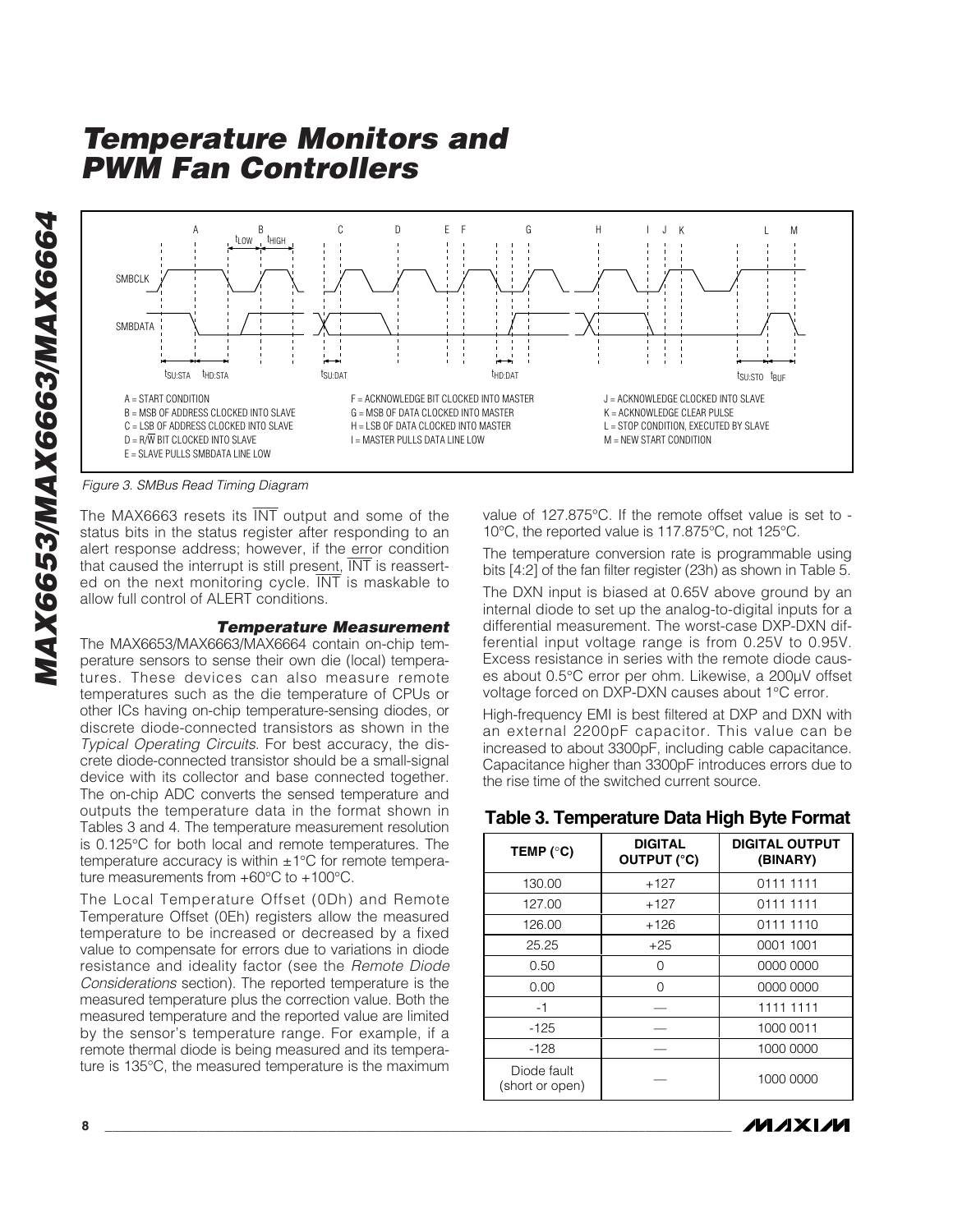MAX6653/MAX6663/MAX6664 *MAX6653/MAX6663/MAX6664*



*Figure 3. SMBus Read Timing Diagram*

The MAX6663 resets its INT output and some of the status bits in the status register after responding to an alert response address; however, if the error condition that caused the interrupt is still present, INT is reasserted on the next monitoring cycle.  $\overline{\text{INT}}$  is maskable to allow full control of ALERT conditions.

#### *Temperature Measurement*

The MAX6653/MAX6663/MAX6664 contain on-chip temperature sensors to sense their own die (local) temperatures. These devices can also measure remote temperatures such as the die temperature of CPUs or other ICs having on-chip temperature-sensing diodes, or discrete diode-connected transistors as shown in the *Typical Operating Circuits*. For best accuracy, the discrete diode-connected transistor should be a small-signal device with its collector and base connected together. The on-chip ADC converts the sensed temperature and outputs the temperature data in the format shown in Tables 3 and 4. The temperature measurement resolution is 0.125°C for both local and remote temperatures. The temperature accuracy is within  $\pm 1^{\circ}$ C for remote temperature measurements from +60°C to +100°C.

The Local Temperature Offset (0Dh) and Remote Temperature Offset (0Eh) registers allow the measured temperature to be increased or decreased by a fixed value to compensate for errors due to variations in diode resistance and ideality factor (see the *Remote Diode Considerations* section). The reported temperature is the measured temperature plus the correction value. Both the measured temperature and the reported value are limited by the sensor's temperature range. For example, if a remote thermal diode is being measured and its temperature is 135°C, the measured temperature is the maximum value of 127.875°C. If the remote offset value is set to - 10°C, the reported value is 117.875°C, not 125°C.

The temperature conversion rate is programmable using bits [4:2] of the fan filter register (23h) as shown in Table 5.

The DXN input is biased at 0.65V above ground by an internal diode to set up the analog-to-digital inputs for a differential measurement. The worst-case DXP-DXN differential input voltage range is from 0.25V to 0.95V. Excess resistance in series with the remote diode causes about 0.5°C error per ohm. Likewise, a 200µV offset voltage forced on DXP-DXN causes about 1°C error.

High-frequency EMI is best filtered at DXP and DXN with an external 2200pF capacitor. This value can be increased to about 3300pF, including cable capacitance. Capacitance higher than 3300pF introduces errors due to the rise time of the switched current source.

**Table 3. Temperature Data High Byte Format**

| TEMP $(^{\circ}C)$             | <b>DIGITAL</b><br><b>OUTPUT (°C)</b> | <b>DIGITAL OUTPUT</b><br>(BINARY) |  |  |  |  |
|--------------------------------|--------------------------------------|-----------------------------------|--|--|--|--|
| 130.00                         | $+127$                               | 0111 1111                         |  |  |  |  |
| 127.00                         | $+127$                               | 0111 1111                         |  |  |  |  |
| 126.00                         | $+126$                               | 0111 1110                         |  |  |  |  |
| 25.25                          | $+25$                                | 0001 1001                         |  |  |  |  |
| 0.50                           | 0                                    | 0000 0000                         |  |  |  |  |
| 0.00                           | ∩                                    | 0000 0000                         |  |  |  |  |
| $-1$                           |                                      | 1111 1111                         |  |  |  |  |
| $-125$                         |                                      | 1000 0011                         |  |  |  |  |
| $-128$                         |                                      | 1000 0000                         |  |  |  |  |
| Diode fault<br>(short or open) |                                      | 1000 0000                         |  |  |  |  |

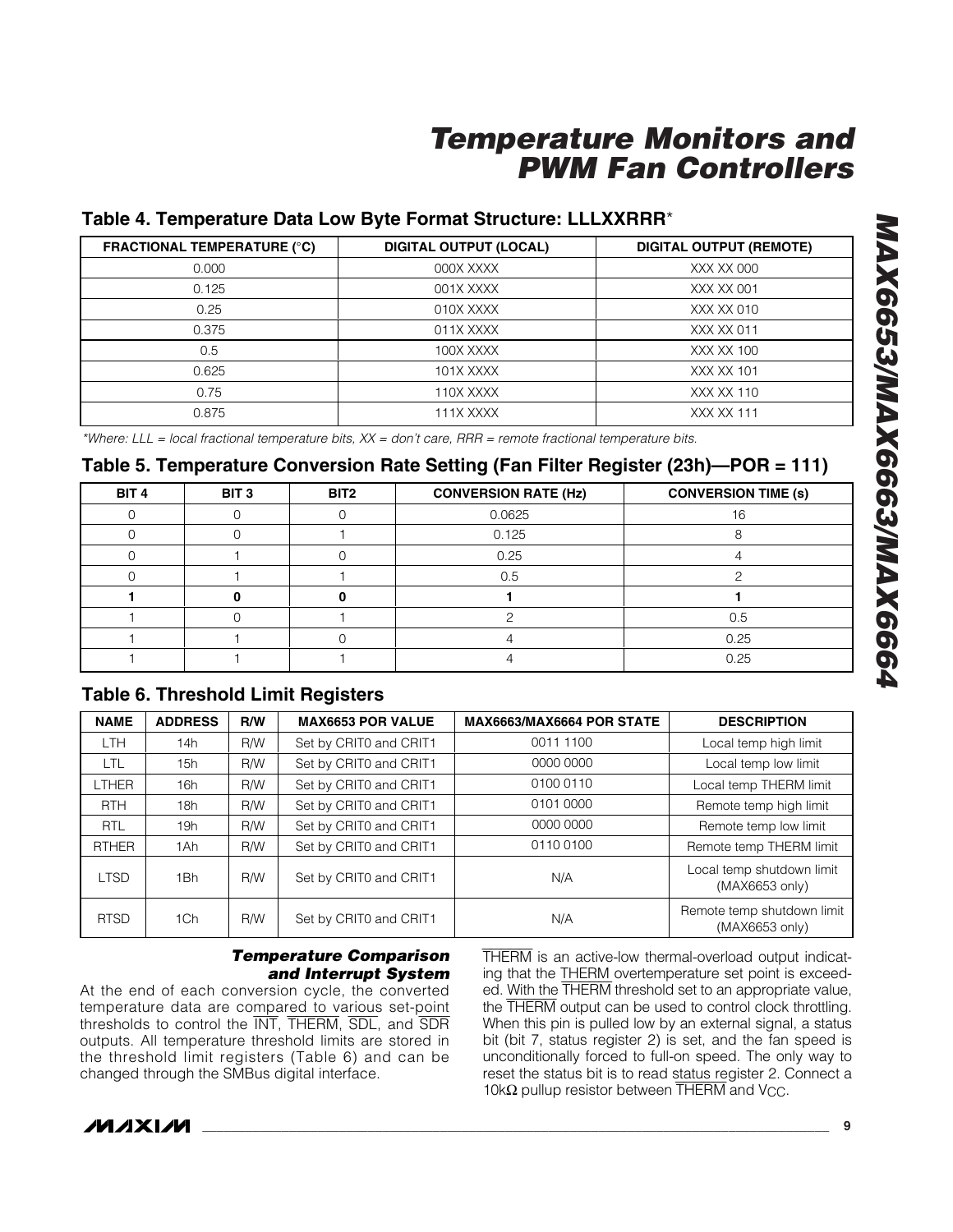### **Table 4. Temperature Data Low Byte Format Structure: LLLXXRRR** \*

| <b>FRACTIONAL TEMPERATURE (°C)</b> | <b>DIGITAL OUTPUT (LOCAL)</b> | <b>DIGITAL OUTPUT (REMOTE)</b> |
|------------------------------------|-------------------------------|--------------------------------|
| 0.000                              | 000X XXXX                     | XXX XX 000                     |
| 0.125                              | 001X XXXX                     | XXX XX 001                     |
| 0.25                               | 010X XXXX                     | XXX XX 010                     |
| 0.375                              | 011X XXXX                     | XXX XX 011                     |
| 0.5                                | 100X XXXX                     | XXX XX 100                     |
| 0.625                              | 101X XXXX                     | <b>XXX XX 101</b>              |
| 0.75                               | 110X XXXX                     | XXX XX 110                     |
| 0.875                              | 111X XXXX                     | <b>XXX XX 111</b>              |

*\*Where: LLL = local fractional temperature bits, XX = don 't care, RRR = remote fractional temperature bits.*

#### **Table 5. Temperature Conversion Rate Setting (Fan Filter Register (23h) —POR = 111)**

| BIT 4 | BIT <sub>3</sub> | BIT2 | <b>CONVERSION RATE (Hz)</b> | <b>CONVERSION TIME (s)</b> |
|-------|------------------|------|-----------------------------|----------------------------|
|       |                  |      | 0.0625                      | 16                         |
|       |                  |      | 0.125                       |                            |
|       |                  |      | 0.25                        |                            |
|       |                  |      | 0.5                         |                            |
|       |                  |      |                             |                            |
|       |                  |      |                             | 0.5                        |
|       |                  |      |                             | 0.25                       |
|       |                  |      |                             | 0.25                       |

#### **Table 6. Threshold Limit Registers**

| <b>NAME</b>  | <b>ADDRESS</b> | R/W        | <b>MAX6653 POR VALUE</b> | MAX6663/MAX6664 POR STATE | <b>DESCRIPTION</b>                           |
|--------------|----------------|------------|--------------------------|---------------------------|----------------------------------------------|
| <b>LTH</b>   | 14h            | R/W        | Set by CRITO and CRIT1   | 0011 1100                 | Local temp high limit                        |
| LTL          | 15h            | R/W        | Set by CRIT0 and CRIT1   | 0000 0000                 | Local temp low limit                         |
| LTHER        | 16h            | R/W        | Set by CRIT0 and CRIT1   | 0100 0110                 | Local temp THERM limit                       |
| <b>RTH</b>   | 18h            | R/W        | Set by CRIT0 and CRIT1   | 0101 0000                 | Remote temp high limit                       |
| <b>RTL</b>   | 19h            | <b>R/W</b> | Set by CRIT0 and CRIT1   | 0000 0000                 | Remote temp low limit                        |
| <b>RTHER</b> | 1Ah            | <b>R/W</b> | Set by CRIT0 and CRIT1   | 01100100                  | Remote temp THERM limit                      |
| <b>LTSD</b>  | 1Bh            | <b>R/W</b> | Set by CRIT0 and CRIT1   | N/A                       | Local temp shutdown limit<br>(MAX6653 only)  |
| <b>RTSD</b>  | 1Ch            | <b>R/W</b> | Set by CRITO and CRIT1   | N/A                       | Remote temp shutdown limit<br>(MAX6653 only) |

#### *Temperature Comparison and Interrupt System*

At the end of each conversion cycle, the converted temperature data are compared to various set-point thresholds to control the INT, THERM, SDL, and SDR outputs. All temperature threshold limits are stored in the threshold limit registers (Table 6) and can be changed through the SMBus digital interface.

THERM is an active-low thermal-overload output indicating that the THERM overtemperature set point is exceeded. With the THERM threshold set to an appropriate value, the THERM output can be used to control clock throttling. When this pin is pulled low by an external signal, a status bit (bit 7, status register 2) is set, and the fan speed is unconditionally forced to full-on speed. The only way to reset the status bit is to read status register 2. Connect a 10 $k\Omega$  pullup resistor between THERM and V<sub>CC</sub>.

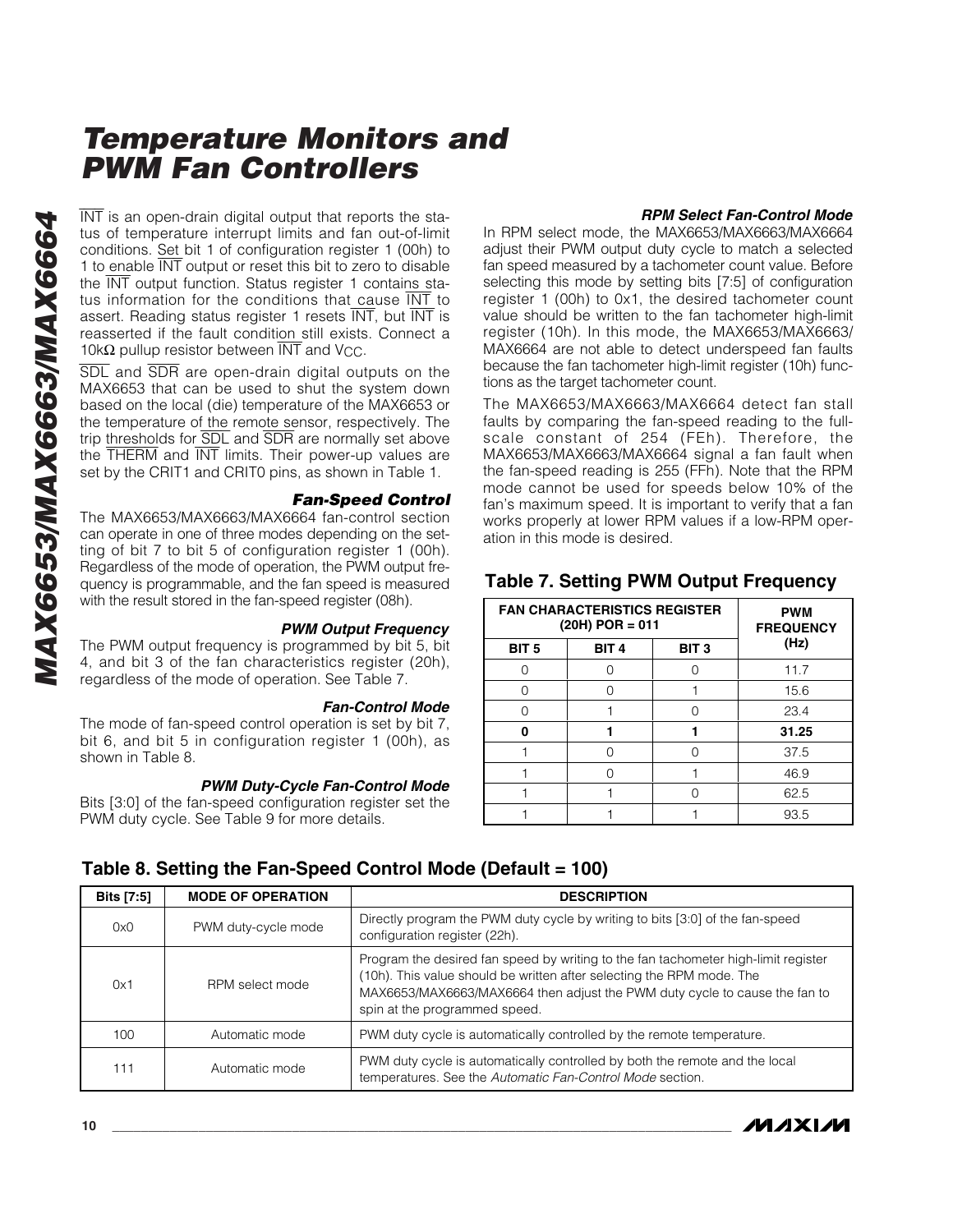$\overline{\text{INT}}$  is an open-drain digital output that reports the status of temperature interrupt limits and fan out-of-limit conditions. Set bit 1 of configuration register 1 (00h) to 1 to enable INT output or reset this bit to zero to disable the INT output function. Status register 1 contains status information for the conditions that cause INT to assert. Reading status register 1 resets INT, but INT is reasserted if the fault condition still exists. Connect a 10 $k\Omega$  pullup resistor between  $\overline{\text{INT}}$  and V<sub>CC</sub>.

SDL and SDR are open-drain digital outputs on the MAX6653 that can be used to shut the system down based on the local (die) temperature of the MAX6653 or the temperature of the remote sensor, respectively. The trip thresholds for SDL and SDR are normally set above the THERM and INT limits. Their power-up values are set by the CRIT1 and CRIT0 pins, as shown in Table 1.

#### *Fan-Speed Control*

The MAX6653/MAX6663/MAX6664 fan-control section can operate in one of three modes depending on the setting of bit 7 to bit 5 of configuration register 1 (00h). Regardless of the mode of operation, the PWM output frequency is programmable, and the fan speed is measured with the result stored in the fan-speed register (08h).

#### *PWM Output Frequency*

The PWM output frequency is programmed by bit 5, bit 4, and bit 3 of the fan characteristics register (20h), regardless of the mode of operation. See Table 7.

#### *Fan-Control Mode*

The mode of fan-speed control operation is set by bit 7, bit 6, and bit 5 in configuration register 1 (00h), as shown in Table 8.

#### *PWM Duty-Cycle Fan-Control Mode*

Bits [3:0] of the fan-speed configuration register set the PWM duty cycle. See Table 9 for more details.

#### *RPM Select Fan-Control Mode*

In RPM select mode, the MAX6653/MAX6663/MAX6664 adjust their PWM output duty cycle to match a selected fan speed measured by a tachometer count value. Before selecting this mode by setting bits [7:5] of configuration register 1 (00h) to 0x1, the desired tachometer count value should be written to the fan tachometer high-limit register (10h). In this mode, the MAX6653/MAX6663/ MAX6664 are not able to detect underspeed fan faults because the fan tachometer high-limit register (10h) functions as the target tachometer count.

The MAX6653/MAX6663/MAX6664 detect fan stall faults by comparing the fan-speed reading to the fullscale constant of 254 (FEh). Therefore, the MAX6653/MAX6663/MAX6664 signal a fan fault when the fan-speed reading is 255 (FFh). Note that the RPM mode cannot be used for speeds below 10% of the fan 's maximum speed. It is important to verify that a fan works properly at lower RPM values if a low-RPM operation in this mode is desired.

#### **Table 7. Setting PWM Output Frequency**

| <b>FAN CHARACTERISTICS REGISTER</b><br>$(20H)$ POR = 011 | <b>PWM</b><br><b>FREQUENCY</b> |                  |       |
|----------------------------------------------------------|--------------------------------|------------------|-------|
| BIT <sub>5</sub>                                         | BIT <sub>4</sub>               | BIT <sub>3</sub> | (Hz)  |
|                                                          |                                |                  | 11.7  |
| ∩                                                        |                                |                  | 15.6  |
| ∩                                                        |                                |                  | 23.4  |
| ŋ                                                        |                                |                  | 31.25 |
|                                                          |                                |                  | 37.5  |
|                                                          |                                |                  | 46.9  |
|                                                          |                                |                  | 62.5  |
|                                                          |                                |                  | 93.5  |

| Bits [7:5] | <b>MODE OF OPERATION</b> | <b>DESCRIPTION</b>                                                                                                                                                                                                                                                         |
|------------|--------------------------|----------------------------------------------------------------------------------------------------------------------------------------------------------------------------------------------------------------------------------------------------------------------------|
| OxO        | PWM duty-cycle mode      | Directly program the PWM duty cycle by writing to bits [3:0] of the fan-speed<br>configuration register (22h).                                                                                                                                                             |
| 0x1        | RPM select mode          | Program the desired fan speed by writing to the fan tachometer high-limit register<br>(10h). This value should be written after selecting the RPM mode. The<br>MAX6653/MAX6663/MAX6664 then adjust the PWM duty cycle to cause the fan to<br>spin at the programmed speed. |
| 100        | Automatic mode           | PWM duty cycle is automatically controlled by the remote temperature.                                                                                                                                                                                                      |
| 111        | Automatic mode           | PWM duty cycle is automatically controlled by both the remote and the local<br>temperatures. See the Automatic Fan-Control Mode section.                                                                                                                                   |

#### **Table 8. Setting the Fan-Speed Control Mode (Default = 100)**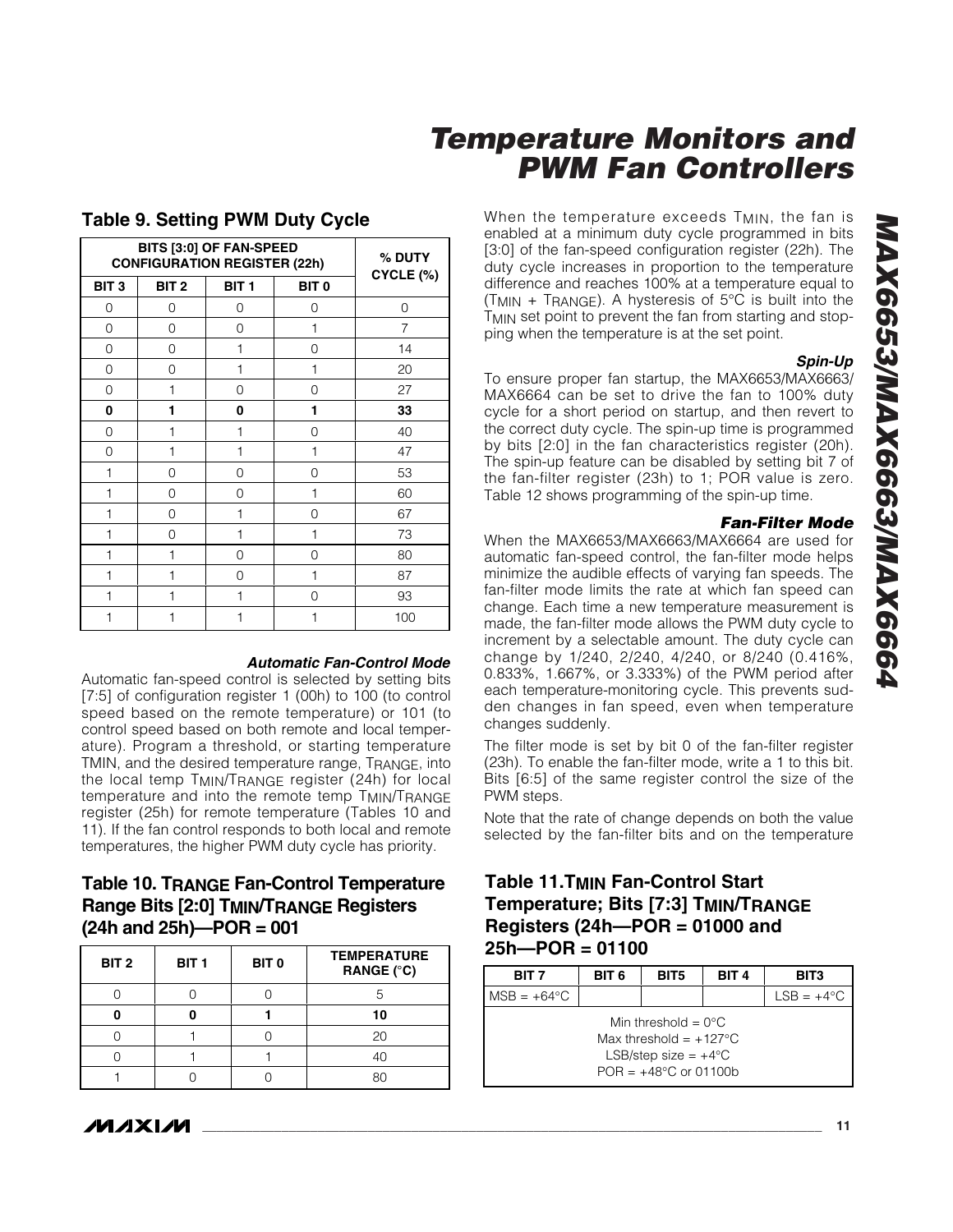When the temperature exceeds  $T_{MIN}$ , the fan is enabled at a minimum duty cycle programmed in bits [3:0] of the fan-speed configuration register (22h). The duty cycle increases in proportion to the temperature difference and reaches 100% at a temperature equal to (TMIN + TRANGE). A hysteresis of 5 °C is built into the T<sub>MIN</sub> set point to prevent the fan from starting and stopping when the temperature is at the set point.

#### *Spin-Up*

To ensure proper fan startup, the MAX6653/MAX6663/ MAX6664 can be set to drive the fan to 100% duty cycle for a short period on startup, and then revert to the correct duty cycle. The spin-up time is programmed by bits [2:0] in the fan characteristics register (20h). The spin-up feature can be disabled by setting bit 7 of the fan-filter register (23h) to 1; POR value is zero. Table 12 shows programming of the spin-up time.

#### *Fan-Filter Mode*

When the MAX6653/MAX6663/MAX6664 are used for automatic fan-speed control, the fan-filter mode helps minimize the audible effects of varying fan speeds. The fan-filter mode limits the rate at which fan speed can change. Each time a new temperature measurement is made, the fan-filter mode allows the PWM duty cycle to increment by a selectable amount. The duty cycle can change by 1/240, 2/240, 4/240, or 8/240 (0.416%, 0.833%, 1.667%, or 3.333%) of the PWM period after each temperature-monitoring cycle. This prevents sudden changes in fan speed, even when temperature changes suddenly.

The filter mode is set by bit 0 of the fan-filter register (23h). To enable the fan-filter mode, write a 1 to this bit. Bits [6:5] of the same register control the size of the PWM steps.

Note that the rate of change depends on both the value selected by the fan-filter bits and on the temperature

### **Table 11.TMIN Fan-Control Start Temperature; Bits [7:3] TMIN/TRANGE Registers (24h —POR = 01000 and 25h —POR = 01100**

| BIT <sub>7</sub>     | BIT <sub>6</sub> | BIT <sub>5</sub>                                                                                                               | BIT <sub>4</sub> | BIT3         |
|----------------------|------------------|--------------------------------------------------------------------------------------------------------------------------------|------------------|--------------|
| $MSB = +64^{\circ}C$ |                  |                                                                                                                                |                  | $LSB = +4°C$ |
|                      |                  | Min threshold = $0^{\circ}$ C<br>Max threshold = $+127^{\circ}$ C<br>LSB/step size = $+4^{\circ}$ C<br>$POR = +48°C$ or 01100b |                  |              |

### **Table 9. Setting PWM Duty Cycle**

**BITS [3:0] OF FAN-SPEED CONFIGURATION REGISTER (22h)**

| BIT <sub>3</sub> | BIT <sub>2</sub> | BIT <sub>1</sub> | BIT <sub>0</sub> | $CYCLE (\%)$   |
|------------------|------------------|------------------|------------------|----------------|
| 0                | 0                | 0                | 0                | 0              |
| 0                | 0                | 0                | 1                | $\overline{7}$ |
| 0                | 0                | 1                | 0                | 14             |
| 0                | 0                | 1                | 1                | 20             |
| 0                | 1                | 0                | 0                | 27             |
| 0                | 1                | 0                | 1                | 33             |
| $\mathbf 0$      | 1                | 1                | 0                | 40             |
| 0                | 1                | 1                | 1                | 47             |
| 1                | 0                | 0                | 0                | 53             |
| 1                | 0                | 0                | 1                | 60             |
| 1                | 0                | 1                | 0                | 67             |
| 1                | 0                | 1                | 1                | 73             |
| 1                | 1                | 0                | 0                | 80             |
| 1                | 1                | 0                | 1                | 87             |
| 1                | $\mathbf{1}$     | 1                | 0                | 93             |
| $\mathbf{1}$     | 1                | 1                | 1                | 100            |
|                  |                  |                  |                  |                |

#### *Automatic Fan-Control Mode*

**% DUTY**

Automatic fan-speed control is selected by setting bits [7:5] of configuration register 1 (00h) to 100 (to control speed based on the remote temperature) or 101 (to control speed based on both remote and local temperature). Program a threshold, or starting temperature TMIN, and the desired temperature range, TRANGE, into the local temp TMIN/TRANGE register (24h) for local temperature and into the remote temp TMIN/TRANGE register (25h) for remote temperature (Tables 10 and 11). If the fan control responds to both local and remote temperatures, the higher PWM duty cycle has priority.

### **Table 10. TRANGE Fan-Control Temperature Range Bits [2:0] TMIN/TRANGE Registers (24h and 25h) —POR = 001**

| BIT <sub>2</sub> | BIT <sub>1</sub> | BIT <sub>0</sub> | <b>TEMPERATURE</b><br>RANGE (°C) |
|------------------|------------------|------------------|----------------------------------|
|                  |                  |                  |                                  |
|                  |                  |                  | 10                               |
|                  |                  |                  | 20                               |
|                  |                  |                  | 40                               |
|                  |                  |                  |                                  |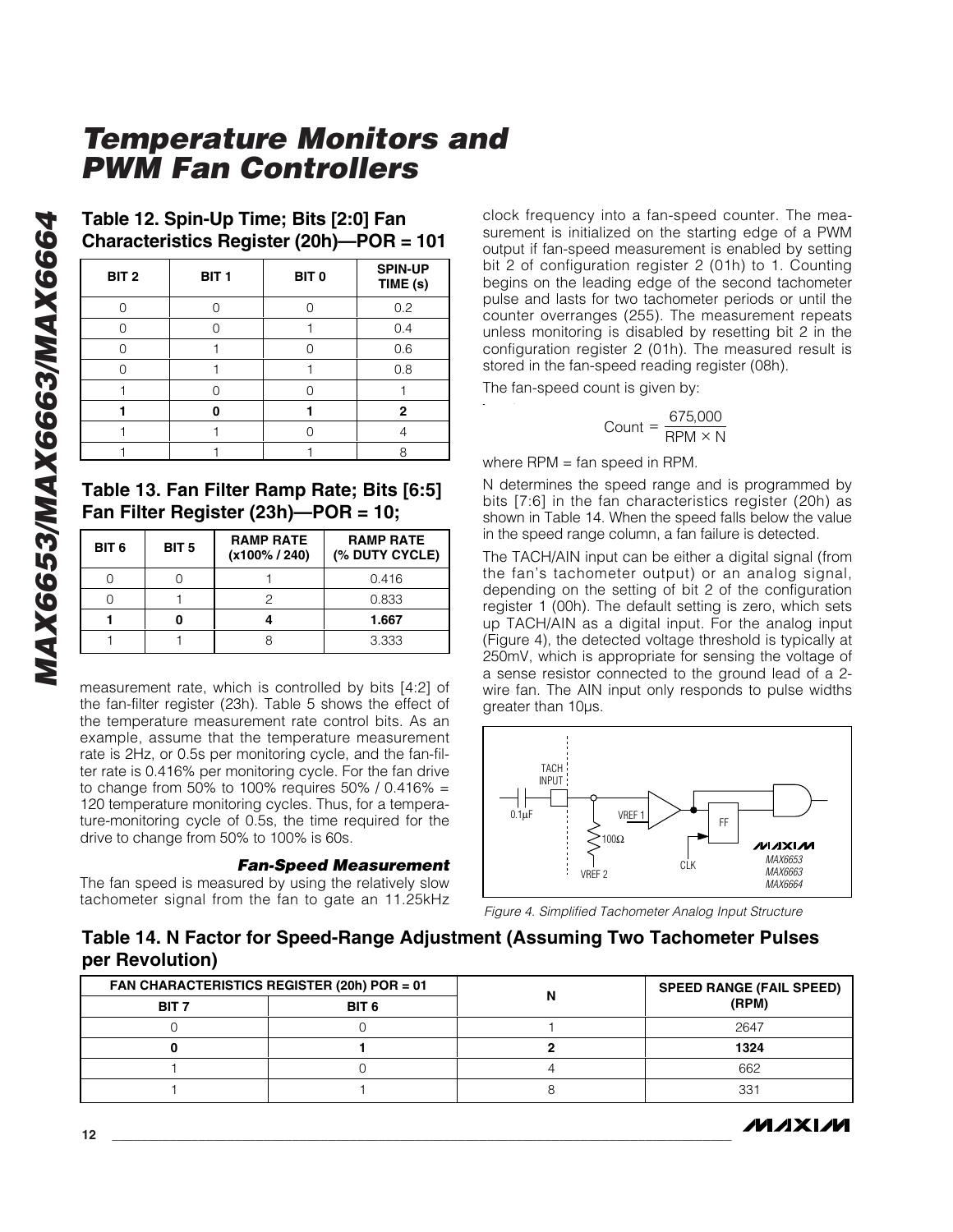| Table 12. Spin-Up Time; Bits [2:0] Fan   |
|------------------------------------------|
| Characteristics Register (20h)-POR = 101 |

| BIT <sub>2</sub> | BIT <sub>1</sub> | BIT <sub>0</sub> | <b>SPIN-UP</b><br>TIME (s) |
|------------------|------------------|------------------|----------------------------|
|                  |                  |                  | 0.2                        |
|                  |                  |                  | 0.4                        |
|                  |                  |                  | 0.6                        |
|                  |                  |                  | 0.8                        |
|                  |                  |                  |                            |
|                  |                  |                  | 2                          |
|                  |                  |                  |                            |
|                  |                  |                  |                            |

#### **Table 13. Fan Filter Ramp Rate; Bits [6:5] Fan Filter Register (23h) —POR = 10;**

| BIT <sub>6</sub> | BIT <sub>5</sub> | <b>RAMP RATE</b><br>$(x100\% / 240)$ | <b>RAMP RATE</b><br>(% DUTY CYCLE) |
|------------------|------------------|--------------------------------------|------------------------------------|
|                  |                  |                                      | 0.416                              |
|                  |                  |                                      | 0.833                              |
|                  |                  |                                      | 1.667                              |
|                  |                  |                                      | 3.333                              |

measurement rate, which is controlled by bits [4:2] of the fan-filter register (23h). Table 5 shows the effect of the temperature measurement rate control bits. As an example, assume that the temperature measurement rate is 2Hz, or 0.5s per monitoring cycle, and the fan-filter rate is 0.416% per monitoring cycle. For the fan drive to change from 50% to 100% requires 50% / 0.416% = 120 temperature monitoring cycles. Thus, for a temperature-monitoring cycle of 0.5s, the time required for the drive to change from 50% to 100% is 60s.

#### *Fan-Speed Measurement*

The fan speed is measured by using the relatively slow tachometer signal from the fan to gate an 11.25kHz clock frequency into a fan-speed counter. The measurement is initialized on the starting edge of a PWM output if fan-speed measurement is enabled by setting bit 2 of configuration register 2 (01h) to 1. Counting begins on the leading edge of the second tachometer pulse and lasts for two tachometer periods or until the counter overranges (255). The measurement repeats unless monitoring is disabled by resetting bit 2 in the configuration register 2 (01h). The measured result is stored in the fan-speed reading register (08h).

The fan-speed count is given by:

$$
Count = \frac{675,000}{RPM \times N}
$$

where RPM = fan speed in RPM.

N determines the speed range and is programmed by bits [7:6] in the fan characteristics register (20h) as shown in Table 14. When the speed falls below the value in the speed range column, a fan failure is detected.

The TACH/AIN input can be either a digital signal (from the fan 's tachometer output) or an analog signal, depending on the setting of bit 2 of the configuration register 1 (00h). The default setting is zero, which sets up TACH/AIN as a digital input. For the analog input (Figure 4), the detected voltage threshold is typically at 250mV, which is appropriate for sensing the voltage of a sense resistor connected to the ground lead of a 2 wire fan. The AIN input only responds to pulse widths greater than 10µs.



*Figure 4. Simplified Tachometer Analog Input Structure*

#### **Table 14. N Factor for Speed-Range Adjustment (Assuming Two Tachometer Pulses per Revolution)**

| FAN CHARACTERISTICS REGISTER (20h) POR = 01 |                  | <b>SPEED RANGE (FAIL SPEED)</b> |
|---------------------------------------------|------------------|---------------------------------|
| BIT <sub>7</sub>                            | BIT <sub>6</sub> | (RPM)                           |
|                                             |                  | 2647                            |
|                                             |                  | 1324                            |
|                                             |                  | 662                             |
|                                             |                  | $33 -$                          |

**MAXM**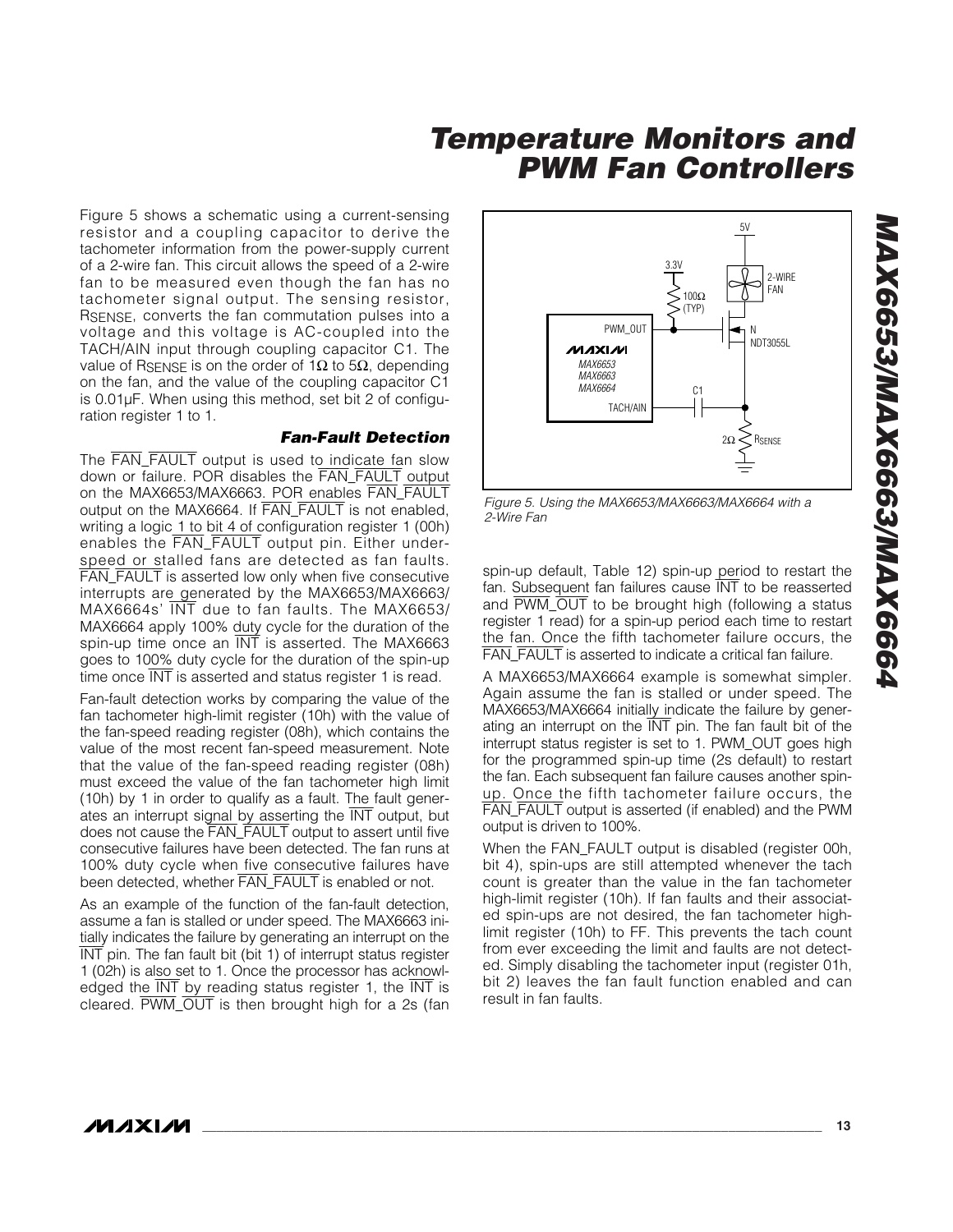Figure 5 shows a schematic using a current-sensing resistor and a coupling capacitor to derive the tachometer information from the power-supply current of a 2-wire fan. This circuit allows the speed of a 2-wire fan to be measured even though the fan has no tachometer signal output. The sensing resistor, RSENSE, converts the fan commutation pulses into a voltage and this voltage is AC-coupled into the TACH/AIN input through coupling capacitor C1. The value of R $_{\rm SENSE}$  is on the order of 1Ω to 5Ω, depending on the fan, and the value of the coupling capacitor C1 is 0.01µF. When using this method, set bit 2 of configuration register 1 to 1.

#### *Fan-Fault Detection*

The FAN\_FAULT output is used to indicate fan slow down or failure. POR disables the FAN\_FAULT output on the MAX6653/MAX6663. POR enables FAN\_FAULT output on the MAX6664. If FAN\_FAULT is not enabled, writing a logic 1 to bit 4 of configuration register 1 (00h) enables the FAN\_FAULT output pin. Either underspeed or stalled fans are detected as fan faults. FAN\_FAULT is asserted low only when five consecutive interrupts are generated by the MAX6653/MAX6663/ MAX6664s ' INT due to fan faults. The MAX6653/ MAX6664 apply 100% duty cycle for the duration of the spin-up time once an INT is asserted. The MAX6663 goes to 100% duty cycle for the duration of the spin-up time once INT is asserted and status register 1 is read.

Fan-fault detection works by comparing the value of the fan tachometer high-limit register (10h) with the value of the fan-speed reading register (08h), which contains the value of the most recent fan-speed measurement. Note that the value of the fan-speed reading register (08h) must exceed the value of the fan tachometer high limit (10h) by 1 in order to qualify as a fault. The fault generates an interrupt signal by asserting the INT output, but does not cause the FAN\_FAULT output to assert until five consecutive failures have been detected. The fan runs at 100% duty cycle when five consecutive failures have been detected, whether  $\overline{FAN}$  FAULT is enabled or not.

As an example of the function of the fan-fault detection, assume a fan is stalled or under speed. The MAX6663 initially indicates the failure by generating an interrupt on the INT pin. The fan fault bit (bit 1) of interrupt status register 1 (02h) is also set to 1. Once the processor has acknowledged the  $\overline{\text{INT}}$  by reading status register 1, the  $\overline{\text{INT}}$  is cleared. PWM\_OUT is then brought high for a 2s (fan



*Figure 5. Using the MAX6653/MAX6663/MAX6664 with a 2-Wire Fan*

spin-up default, Table 12) spin-up period to restart the fan. Subsequent fan failures cause INT to be reasserted and PWM\_OUT to be brought high (following a status register 1 read) for a spin-up period each time to restart the fan. Once the fifth tachometer failure occurs, the FAN FAULT is asserted to indicate a critical fan failure.

A MAX6653/MAX6664 example is somewhat simpler. Again assume the fan is stalled or under speed. The MAX6653/MAX6664 initially indicate the failure by generating an interrupt on the INT pin. The fan fault bit of the interrupt status register is set to 1. PWM\_OUT goes high for the programmed spin-up time (2s default) to restart the fan. Each subsequent fan failure causes another spinup. Once the fifth tachometer failure occurs, the FAN\_FAULT output is asserted (if enabled) and the PWM output is driven to 100%.

When the FAN\_FAULT output is disabled (register 00h, bit 4), spin-ups are still attempted whenever the tach count is greater than the value in the fan tachometer high-limit register (10h). If fan faults and their associated spin-ups are not desired, the fan tachometer highlimit register (10h) to FF. This prevents the tach count from ever exceeding the limit and faults are not detected. Simply disabling the tachometer input (register 01h, bit 2) leaves the fan fault function enabled and can result in fan faults.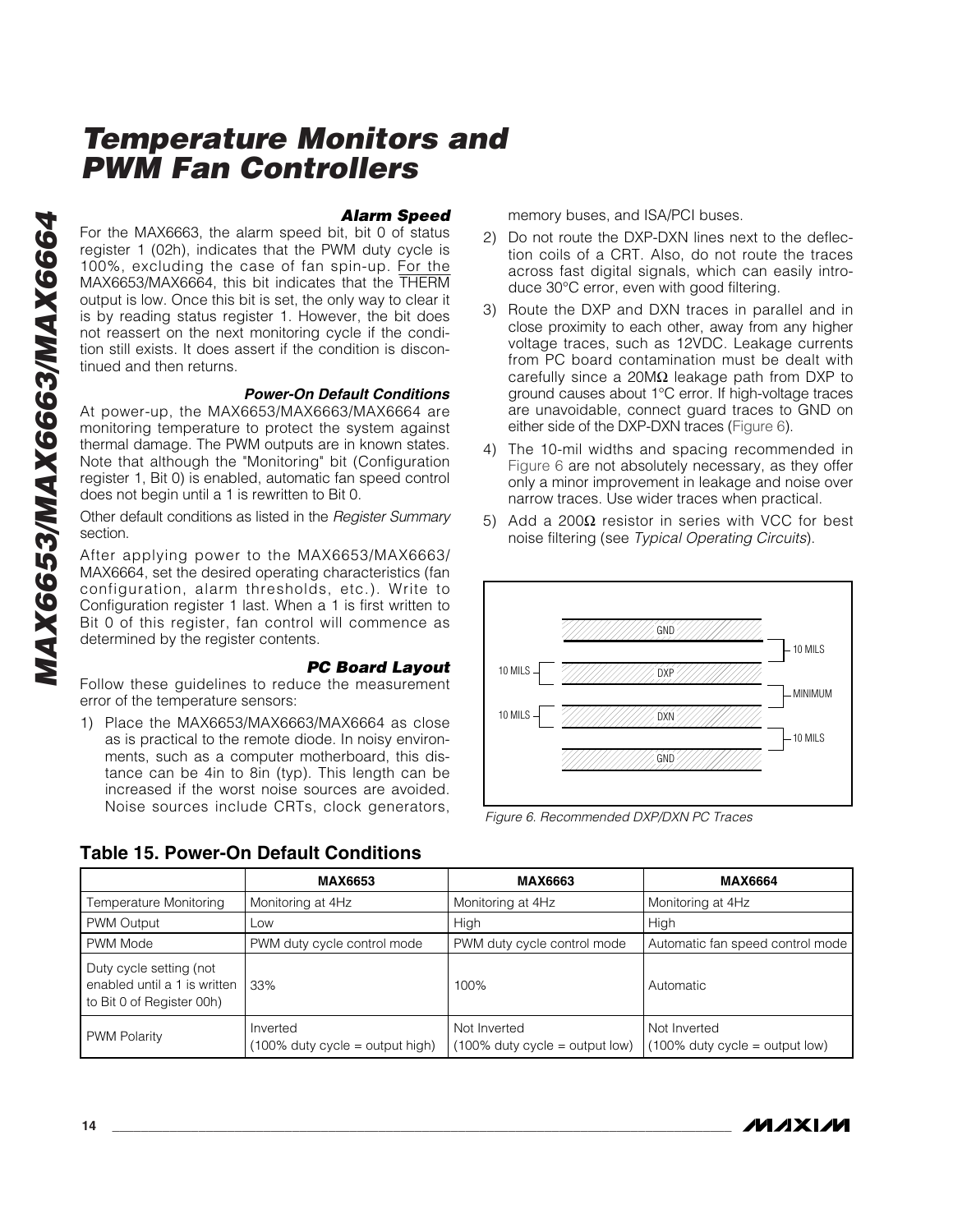*Alarm Speed* For the MAX6663, the alarm speed bit, bit 0 of status register 1 (02h), indicates that the PWM duty cycle is 100%, excluding the case of fan spin-up. For the MAX6653/MAX6664, this bit indicates that the THERM output is low. Once this bit is set, the only way to clear it is by reading status register 1. However, the bit does not reassert on the next monitoring cycle if the condition still exists. It does assert if the condition is discontinued and then returns.

#### *Power-On Default Conditions*

At power-up, the MAX6653/MAX6663/MAX6664 are monitoring temperature to protect the system against thermal damage. The PWM outputs are in known states. Note that although the "Monitoring" bit (Configuration register 1, Bit 0) is enabled, automatic fan speed control does not begin until a 1 is rewritten to Bit 0.

Other default conditions as listed in the *Register Summary* section.

After applying power to the MAX6653/MAX6663/ MAX6664, set the desired operating characteristics (fan configuration, alarm thresholds, etc.). Write to Configuration register 1 last. When a 1 is first written to Bit 0 of this register, fan control will commence as determined by the register contents.

#### *PC Board Layout*

Follow these guidelines to reduce the measurement error of the temperature sensors:

1) Place the MAX6653/MAX6663/MAX6664 as close as is practical to the remote diode. In noisy environments, such as a computer motherboard, this distance can be 4in to 8in (typ). This length can be increased if the worst noise sources are avoided. Noise sources include CRTs, clock generators, memory buses, and ISA/PCI buses.

- 2) Do not route the DXP-DXN lines next to the deflection coils of a CRT. Also, do not route the traces across fast digital signals, which can easily introduce 30°C error, even with good filtering.
- 3) Route the DXP and DXN traces in parallel and in close proximity to each other, away from any higher voltage traces, such as 12VDC. Leakage currents from PC board contamination must be dealt with carefully since a 20M $\Omega$  leakage path from DXP to ground causes about 1 °C error. If high-voltage traces are unavoidable, connect guard traces to GND on either side of the DXP-DXN traces (Figure 6).
- 4) The 10-mil widths and spacing recommended in Figure 6 are not absolutely necessary, as they offer only a minor improvement in leakage and noise over narrow traces. Use wider traces when practical.
- 5) Add a 200 $\Omega$  resistor in series with VCC for best noise filtering (see *Typical Operating Circuits*).



*Figure 6. Recommended DXP/DXN PC Traces*

| <b>Table 15. Power-On Default Conditions</b> |  |
|----------------------------------------------|--|
|----------------------------------------------|--|

|                                                                                      | <b>MAX6653</b>                                 | <b>MAX6663</b>                                    | <b>MAX6664</b>                                    |
|--------------------------------------------------------------------------------------|------------------------------------------------|---------------------------------------------------|---------------------------------------------------|
| Temperature Monitoring                                                               | Monitoring at 4Hz                              | Monitoring at 4Hz                                 | Monitoring at 4Hz                                 |
| PWM Output                                                                           | Low                                            | High                                              | High                                              |
| PWM Mode                                                                             | PWM duty cycle control mode                    | PWM duty cycle control mode                       | Automatic fan speed control mode                  |
| Duty cycle setting (not<br>enabled until a 1 is written<br>to Bit 0 of Register 00h) | 33%                                            | 100%                                              | Automatic                                         |
| <b>PWM Polarity</b>                                                                  | Inverted<br>$(100\%$ duty cycle = output high) | Not Inverted<br>$(100\%$ duty cycle = output low) | Not Inverted<br>$(100\%$ duty cycle = output low) |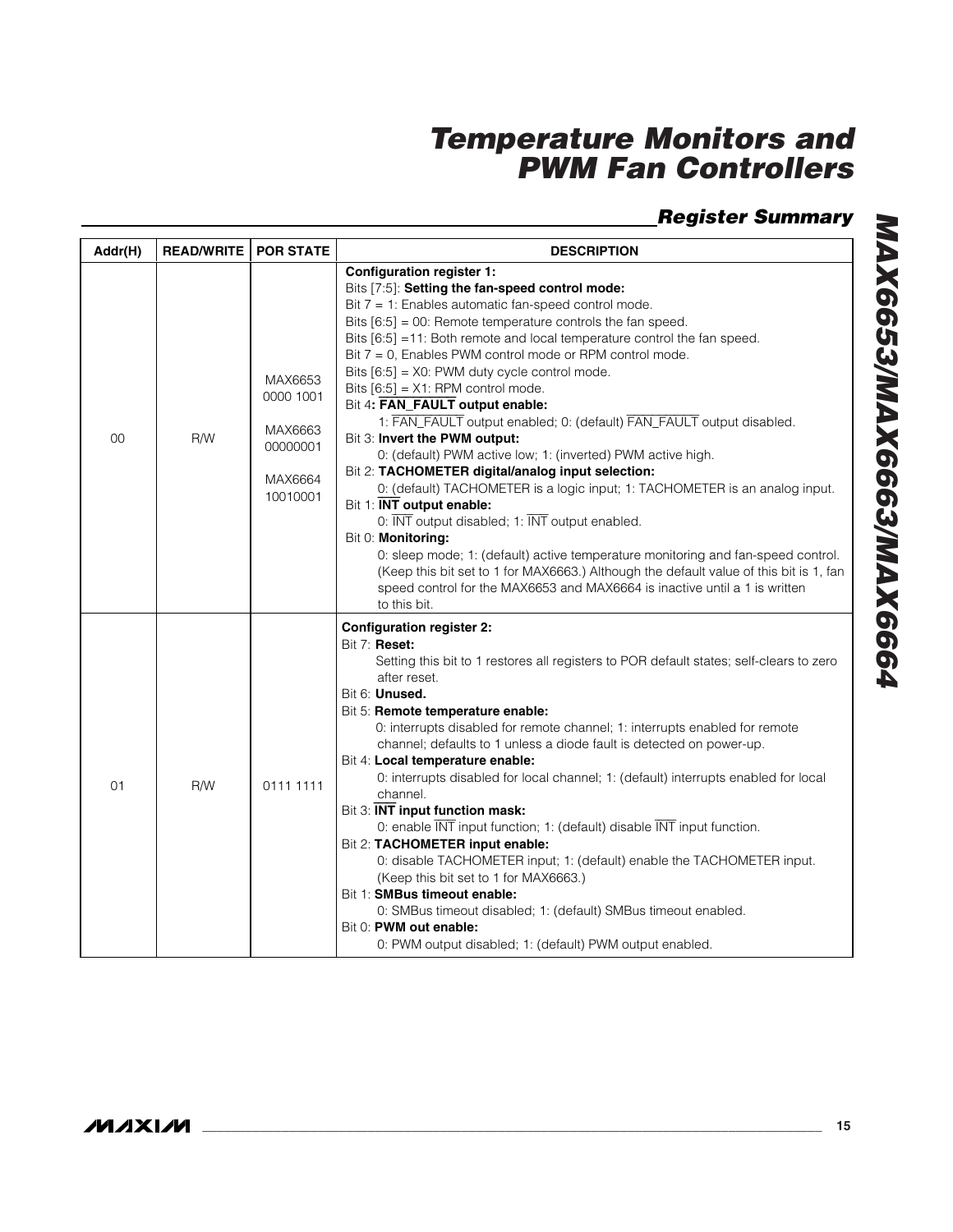### *Register Summary*

| Addr(H) | <b>READ/WRITE</b> | <b>POR STATE</b>                                                   | <b>DESCRIPTION</b>                                                                                                                                                                                                                                                                                                                                                                                                                                                                                                                                                                                                                                                                                                                                                                                                                                                                                                                                                                                                                                                                                                                                                                         |
|---------|-------------------|--------------------------------------------------------------------|--------------------------------------------------------------------------------------------------------------------------------------------------------------------------------------------------------------------------------------------------------------------------------------------------------------------------------------------------------------------------------------------------------------------------------------------------------------------------------------------------------------------------------------------------------------------------------------------------------------------------------------------------------------------------------------------------------------------------------------------------------------------------------------------------------------------------------------------------------------------------------------------------------------------------------------------------------------------------------------------------------------------------------------------------------------------------------------------------------------------------------------------------------------------------------------------|
| 00      | <b>R/W</b>        | MAX6653<br>0000 1001<br>MAX6663<br>00000001<br>MAX6664<br>10010001 | <b>Configuration register 1:</b><br>Bits [7:5]: Setting the fan-speed control mode:<br>Bit 7 = 1: Enables automatic fan-speed control mode.<br>Bits $[6:5] = 00$ : Remote temperature controls the fan speed.<br>Bits [6:5] = 11: Both remote and local temperature control the fan speed.<br>Bit $7 = 0$ , Enables PWM control mode or RPM control mode.<br>Bits [6:5] = X0: PWM duty cycle control mode.<br>Bits $[6:5] = X1$ : RPM control mode.<br>Bit 4: FAN_FAULT output enable:<br>1: FAN_FAULT output enabled; 0: (default) FAN_FAULT output disabled.<br>Bit 3: Invert the PWM output:<br>0: (default) PWM active low; 1: (inverted) PWM active high.<br>Bit 2: TACHOMETER digital/analog input selection:<br>0: (default) TACHOMETER is a logic input; 1: TACHOMETER is an analog input.<br>Bit 1: <b>INT</b> output enable:<br>0: INT output disabled; 1: INT output enabled.<br>Bit 0: Monitoring:<br>0: sleep mode; 1: (default) active temperature monitoring and fan-speed control.<br>(Keep this bit set to 1 for MAX6663.) Although the default value of this bit is 1, fan<br>speed control for the MAX6653 and MAX6664 is inactive until a 1 is written<br>to this bit. |
| 01      | <b>R/W</b>        | 0111 1111                                                          | <b>Configuration register 2:</b><br>Bit 7: Reset:<br>Setting this bit to 1 restores all registers to POR default states; self-clears to zero<br>after reset.<br>Bit 6: Unused.<br>Bit 5: Remote temperature enable:<br>0: interrupts disabled for remote channel; 1: interrupts enabled for remote<br>channel; defaults to 1 unless a diode fault is detected on power-up.<br>Bit 4: Local temperature enable:<br>0: interrupts disabled for local channel; 1: (default) interrupts enabled for local<br>channel.<br>Bit 3: INT input function mask:<br>0: enable INT input function; 1: (default) disable INT input function.<br>Bit 2: TACHOMETER input enable:<br>0: disable TACHOMETER input; 1: (default) enable the TACHOMETER input.<br>(Keep this bit set to 1 for MAX6663.)<br>Bit 1: SMBus timeout enable:<br>0: SMBus timeout disabled; 1: (default) SMBus timeout enabled.<br>Bit 0: PWM out enable:<br>0: PWM output disabled; 1: (default) PWM output enabled.                                                                                                                                                                                                               |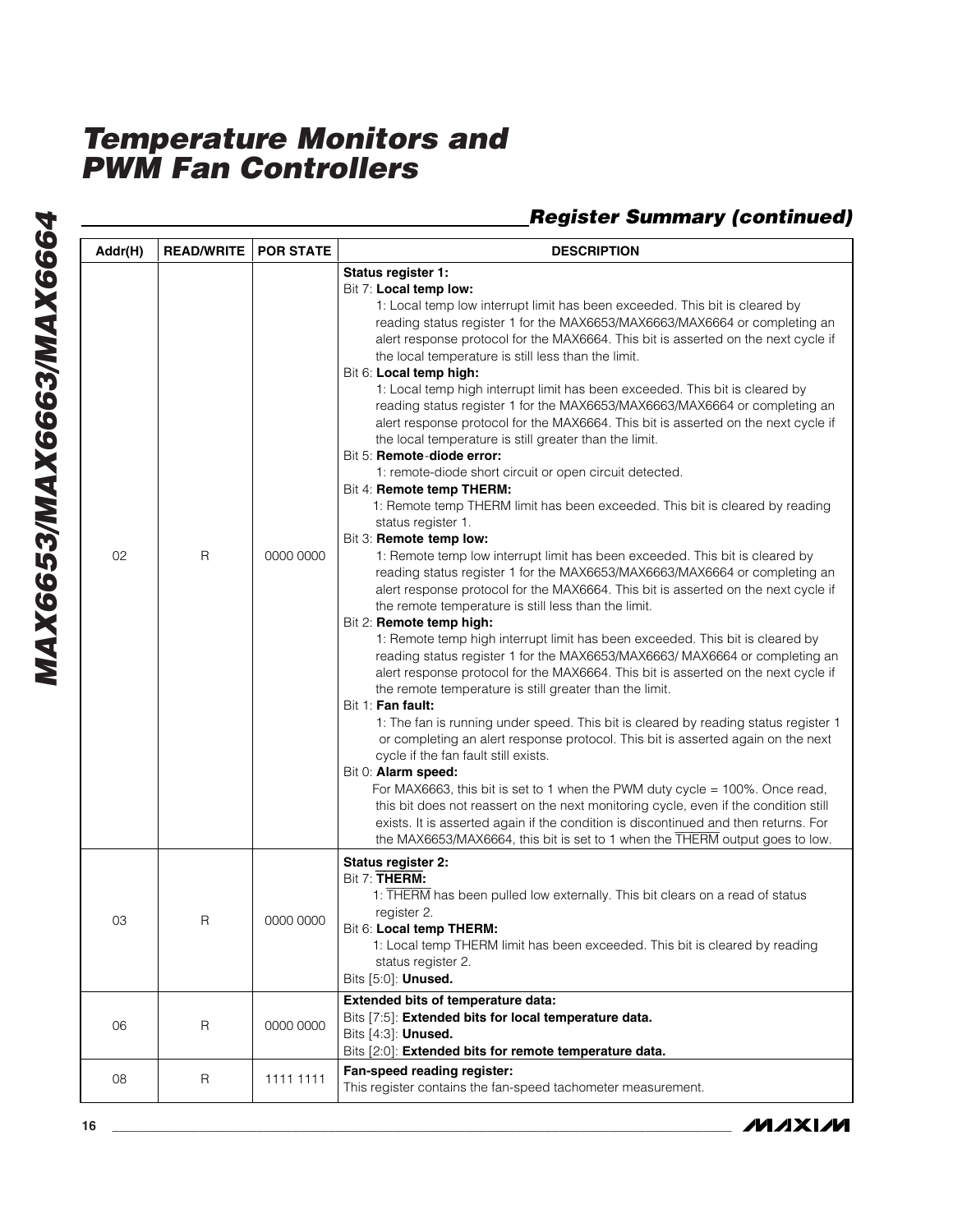| Status register 1:<br>Bit 7: Local temp low:<br>1: Local temp low interrupt limit has been exceeded. This bit is cleared by<br>reading status register 1 for the MAX6653/MAX6663/MAX6664 or completing an<br>alert response protocol for the MAX6664. This bit is asserted on the next cycle if<br>the local temperature is still less than the limit.<br>Bit 6: Local temp high:<br>1: Local temp high interrupt limit has been exceeded. This bit is cleared by<br>reading status register 1 for the MAX6653/MAX6663/MAX6664 or completing an<br>alert response protocol for the MAX6664. This bit is asserted on the next cycle if<br>the local temperature is still greater than the limit.<br>Bit 5: Remote-diode error:<br>1: remote-diode short circuit or open circuit detected.<br>Bit 4: Remote temp THERM:<br>1: Remote temp THERM limit has been exceeded. This bit is cleared by reading<br>status register 1.<br>Bit 3: Remote temp low:<br>02<br>$\mathsf{R}$<br>0000 0000<br>1: Remote temp low interrupt limit has been exceeded. This bit is cleared by<br>reading status register 1 for the MAX6653/MAX6663/MAX6664 or completing an<br>alert response protocol for the MAX6664. This bit is asserted on the next cycle if<br>the remote temperature is still less than the limit.<br>Bit 2: Remote temp high:<br>1: Remote temp high interrupt limit has been exceeded. This bit is cleared by<br>reading status register 1 for the MAX6653/MAX6663/ MAX6664 or completing an<br>alert response protocol for the MAX6664. This bit is asserted on the next cycle if<br>the remote temperature is still greater than the limit.<br>Bit 1: Fan fault:<br>1: The fan is running under speed. This bit is cleared by reading status register 1<br>or completing an alert response protocol. This bit is asserted again on the next<br>cycle if the fan fault still exists.<br>Bit 0: Alarm speed:<br>For MAX6663, this bit is set to 1 when the PWM duty cycle = $100\%$ . Once read,<br>this bit does not reassert on the next monitoring cycle, even if the condition still<br>exists. It is asserted again if the condition is discontinued and then returns. For<br>the MAX6653/MAX6664, this bit is set to 1 when the THERM output goes to low.<br>Status register 2:<br>Bit 7: THERM:<br>1: THERM has been pulled low externally. This bit clears on a read of status<br>register 2.<br>03<br>R<br>0000 0000<br>Bit 6: Local temp THERM:<br>1: Local temp THERM limit has been exceeded. This bit is cleared by reading<br>status register 2.<br>Bits [5:0]: <b>Unused.</b><br>Extended bits of temperature data:<br>Bits [7:5]: Extended bits for local temperature data.<br>06<br>R<br>0000 0000<br>Bits [4:3]: <b>Unused.</b><br>Bits [2:0]: Extended bits for remote temperature data.<br>Fan-speed reading register:<br>08<br>R<br>1111 1111<br>This register contains the fan-speed tachometer measurement. | Addr(H) | <b>READ/WRITE</b> | <b>POR STATE</b> | <b>DESCRIPTION</b> |
|-----------------------------------------------------------------------------------------------------------------------------------------------------------------------------------------------------------------------------------------------------------------------------------------------------------------------------------------------------------------------------------------------------------------------------------------------------------------------------------------------------------------------------------------------------------------------------------------------------------------------------------------------------------------------------------------------------------------------------------------------------------------------------------------------------------------------------------------------------------------------------------------------------------------------------------------------------------------------------------------------------------------------------------------------------------------------------------------------------------------------------------------------------------------------------------------------------------------------------------------------------------------------------------------------------------------------------------------------------------------------------------------------------------------------------------------------------------------------------------------------------------------------------------------------------------------------------------------------------------------------------------------------------------------------------------------------------------------------------------------------------------------------------------------------------------------------------------------------------------------------------------------------------------------------------------------------------------------------------------------------------------------------------------------------------------------------------------------------------------------------------------------------------------------------------------------------------------------------------------------------------------------------------------------------------------------------------------------------------------------------------------------------------------------------------------------------------------------------------------------------------------------------------------------------------------------------------------------------------------------------------------------------------------------------------------------------------------------------------------------------------------------------------------------------------------------------------------------------------------------------------------------------------------------------------------------|---------|-------------------|------------------|--------------------|
|                                                                                                                                                                                                                                                                                                                                                                                                                                                                                                                                                                                                                                                                                                                                                                                                                                                                                                                                                                                                                                                                                                                                                                                                                                                                                                                                                                                                                                                                                                                                                                                                                                                                                                                                                                                                                                                                                                                                                                                                                                                                                                                                                                                                                                                                                                                                                                                                                                                                                                                                                                                                                                                                                                                                                                                                                                                                                                                                         |         |                   |                  |                    |
|                                                                                                                                                                                                                                                                                                                                                                                                                                                                                                                                                                                                                                                                                                                                                                                                                                                                                                                                                                                                                                                                                                                                                                                                                                                                                                                                                                                                                                                                                                                                                                                                                                                                                                                                                                                                                                                                                                                                                                                                                                                                                                                                                                                                                                                                                                                                                                                                                                                                                                                                                                                                                                                                                                                                                                                                                                                                                                                                         |         |                   |                  |                    |
|                                                                                                                                                                                                                                                                                                                                                                                                                                                                                                                                                                                                                                                                                                                                                                                                                                                                                                                                                                                                                                                                                                                                                                                                                                                                                                                                                                                                                                                                                                                                                                                                                                                                                                                                                                                                                                                                                                                                                                                                                                                                                                                                                                                                                                                                                                                                                                                                                                                                                                                                                                                                                                                                                                                                                                                                                                                                                                                                         |         |                   |                  |                    |
|                                                                                                                                                                                                                                                                                                                                                                                                                                                                                                                                                                                                                                                                                                                                                                                                                                                                                                                                                                                                                                                                                                                                                                                                                                                                                                                                                                                                                                                                                                                                                                                                                                                                                                                                                                                                                                                                                                                                                                                                                                                                                                                                                                                                                                                                                                                                                                                                                                                                                                                                                                                                                                                                                                                                                                                                                                                                                                                                         |         |                   |                  |                    |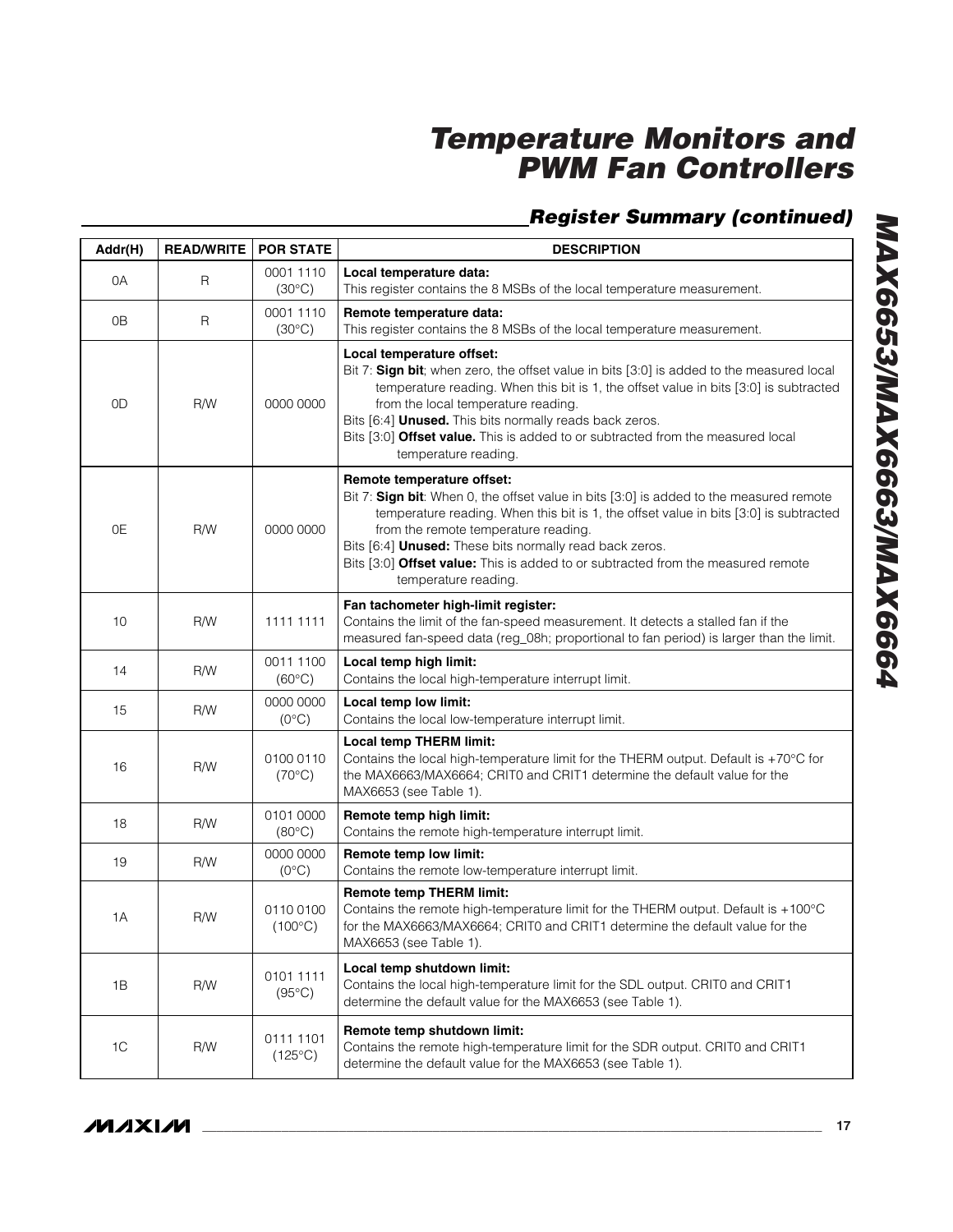| Addr(H)        | <b>READ/WRITE</b> | <b>POR STATE</b>              | <b>DESCRIPTION</b>                                                                                                                                                                                                                                                                                                                                                                                                            |
|----------------|-------------------|-------------------------------|-------------------------------------------------------------------------------------------------------------------------------------------------------------------------------------------------------------------------------------------------------------------------------------------------------------------------------------------------------------------------------------------------------------------------------|
| 0A             | R                 | 0001 1110<br>$(30^{\circ}C)$  | Local temperature data:<br>This register contains the 8 MSBs of the local temperature measurement.                                                                                                                                                                                                                                                                                                                            |
| 0B             | R                 | 0001 1110<br>$(30^{\circ}C)$  | Remote temperature data:<br>This register contains the 8 MSBs of the local temperature measurement.                                                                                                                                                                                                                                                                                                                           |
| 0D             | R/W               | 0000 0000                     | Local temperature offset:<br>Bit 7: Sign bit; when zero, the offset value in bits [3:0] is added to the measured local<br>temperature reading. When this bit is 1, the offset value in bits [3:0] is subtracted<br>from the local temperature reading.<br>Bits [6:4] Unused. This bits normally reads back zeros.<br>Bits [3:0] Offset value. This is added to or subtracted from the measured local<br>temperature reading.  |
| 0E             | R/W               | 0000 0000                     | Remote temperature offset:<br>Bit 7: Sign bit: When 0, the offset value in bits [3:0] is added to the measured remote<br>temperature reading. When this bit is 1, the offset value in bits [3:0] is subtracted<br>from the remote temperature reading.<br>Bits [6:4] Unused: These bits normally read back zeros.<br>Bits [3:0] Offset value: This is added to or subtracted from the measured remote<br>temperature reading. |
| 10             | R/W               | 1111 1111                     | Fan tachometer high-limit register:<br>Contains the limit of the fan-speed measurement. It detects a stalled fan if the<br>measured fan-speed data (reg_08h; proportional to fan period) is larger than the limit.                                                                                                                                                                                                            |
| 14             | R/W               | 0011 1100<br>$(60^{\circ}C)$  | Local temp high limit:<br>Contains the local high-temperature interrupt limit.                                                                                                                                                                                                                                                                                                                                                |
| 15             | R/W               | 0000 0000<br>$(0^{\circ}C)$   | Local temp low limit:<br>Contains the local low-temperature interrupt limit.                                                                                                                                                                                                                                                                                                                                                  |
| 16             | R/W               | 0100 0110<br>$(70^{\circ}C)$  | <b>Local temp THERM limit:</b><br>Contains the local high-temperature limit for the THERM output. Default is +70°C for<br>the MAX6663/MAX6664; CRIT0 and CRIT1 determine the default value for the<br>MAX6653 (see Table 1).                                                                                                                                                                                                  |
| 18             | R/W               | 0101 0000<br>$(80^{\circ}C)$  | Remote temp high limit:<br>Contains the remote high-temperature interrupt limit.                                                                                                                                                                                                                                                                                                                                              |
| 19             | R/W               | 0000 0000<br>$(0^{\circ}C)$   | Remote temp low limit:<br>Contains the remote low-temperature interrupt limit.                                                                                                                                                                                                                                                                                                                                                |
| 1A             | R/W               | 01100100<br>$(100^{\circ}C)$  | <b>Remote temp THERM limit:</b><br>Contains the remote high-temperature limit for the THERM output. Default is +100°C<br>for the MAX6663/MAX6664; CRIT0 and CRIT1 determine the default value for the<br>MAX6653 (see Table 1).                                                                                                                                                                                               |
| 1B             | R/W               | 0101 1111<br>$(95^{\circ}C)$  | Local temp shutdown limit:<br>Contains the local high-temperature limit for the SDL output. CRIT0 and CRIT1<br>determine the default value for the MAX6653 (see Table 1).                                                                                                                                                                                                                                                     |
| 1 <sup>C</sup> | R/W               | 0111 1101<br>$(125^{\circ}C)$ | Remote temp shutdown limit:<br>Contains the remote high-temperature limit for the SDR output. CRIT0 and CRIT1<br>determine the default value for the MAX6653 (see Table 1).                                                                                                                                                                                                                                                   |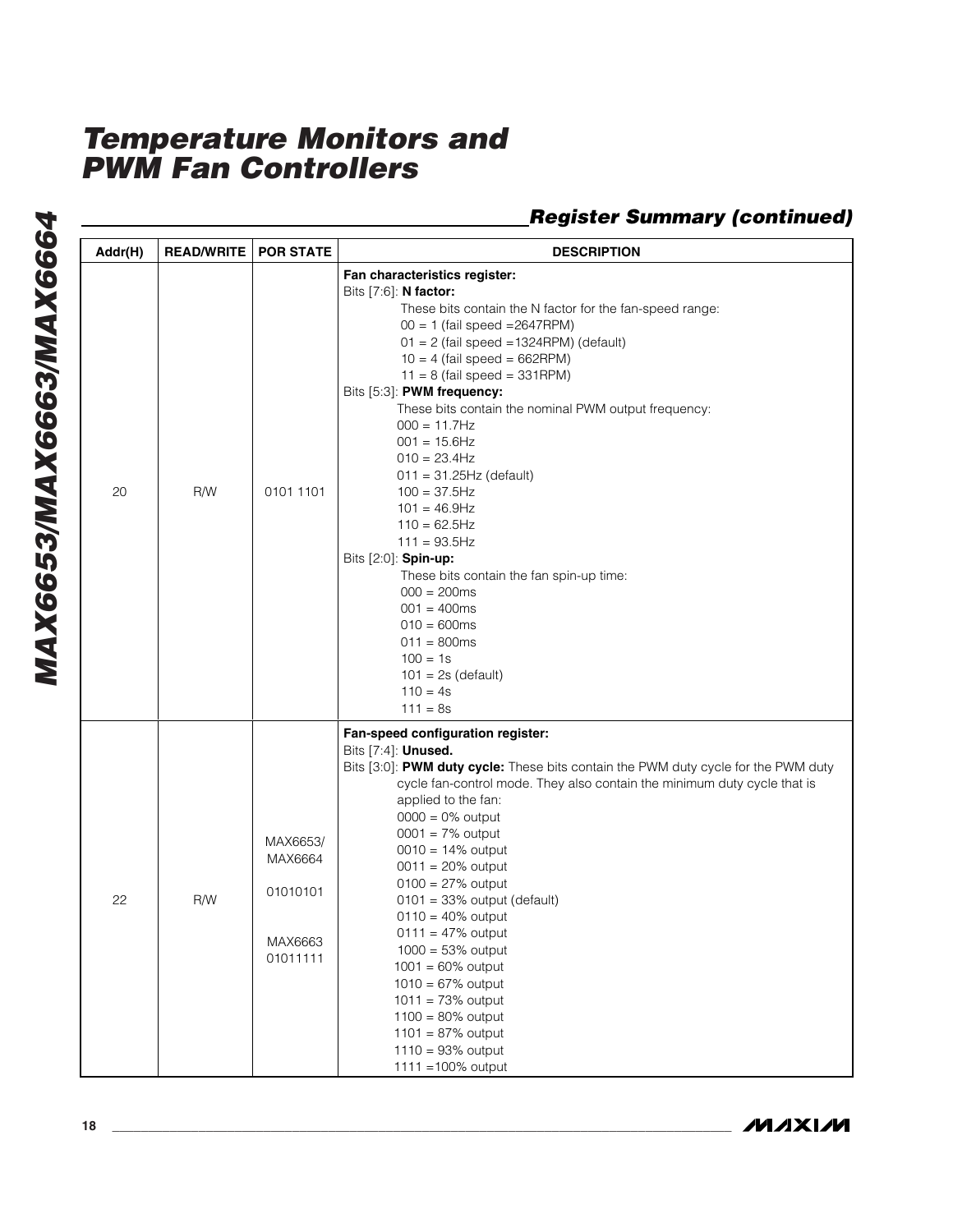| Addr(H) | <b>READ/WRITE</b> | <b>POR STATE</b>                                       | <b>DESCRIPTION</b>                                                                                                                                                                                                                                                                                                                                                                                                                                                                                                                                                                                                                                                                                                                           |
|---------|-------------------|--------------------------------------------------------|----------------------------------------------------------------------------------------------------------------------------------------------------------------------------------------------------------------------------------------------------------------------------------------------------------------------------------------------------------------------------------------------------------------------------------------------------------------------------------------------------------------------------------------------------------------------------------------------------------------------------------------------------------------------------------------------------------------------------------------------|
| 20      | R/W               | 0101 1101                                              | Fan characteristics register:<br>Bits [7:6]: N factor:<br>These bits contain the N factor for the fan-speed range:<br>$00 = 1$ (fail speed = 2647RPM)<br>$01 = 2$ (fail speed = 1324RPM) (default)<br>$10 = 4$ (fail speed = 662RPM)<br>$11 = 8$ (fail speed = 331RPM)<br>Bits [5:3]: PWM frequency:<br>These bits contain the nominal PWM output frequency:<br>$000 = 11.7 Hz$<br>$001 = 15.6$ Hz<br>$010 = 23.4$ Hz<br>$011 = 31.25$ Hz (default)<br>$100 = 37.5$ Hz<br>$101 = 46.9$ Hz<br>$110 = 62.5$ Hz<br>$111 = 93.5$ Hz<br>Bits [2:0]: Spin-up:<br>These bits contain the fan spin-up time:<br>$000 = 200$ ms<br>$001 = 400$ ms<br>$010 = 600$ ms<br>$011 = 800ms$<br>$100 = 1s$<br>$101 = 2s$ (default)<br>$110 = 4s$<br>$111 = 8s$ |
| 22      | R/W               | MAX6653/<br>MAX6664<br>01010101<br>MAX6663<br>01011111 | Fan-speed configuration register:<br>Bits [7:4]: <b>Unused.</b><br>Bits [3:0]: PWM duty cycle: These bits contain the PWM duty cycle for the PWM duty<br>cycle fan-control mode. They also contain the minimum duty cycle that is<br>applied to the fan:<br>$0000 = 0\%$ output<br>$0001 = 7%$ output<br>$0010 = 14%$ output<br>$0011 = 20\%$ output<br>$0100 = 27%$ output<br>$0101 = 33\%$ output (default)<br>$0110 = 40\%$ output<br>$0111 = 47%$ output<br>$1000 = 53%$ output<br>$1001 = 60\%$ output<br>$1010 = 67%$ output<br>$1011 = 73%$ output<br>$1100 = 80\%$ output<br>$1101 = 87%$ output<br>$1110 = 93%$ output<br>1111 = 100% output                                                                                        |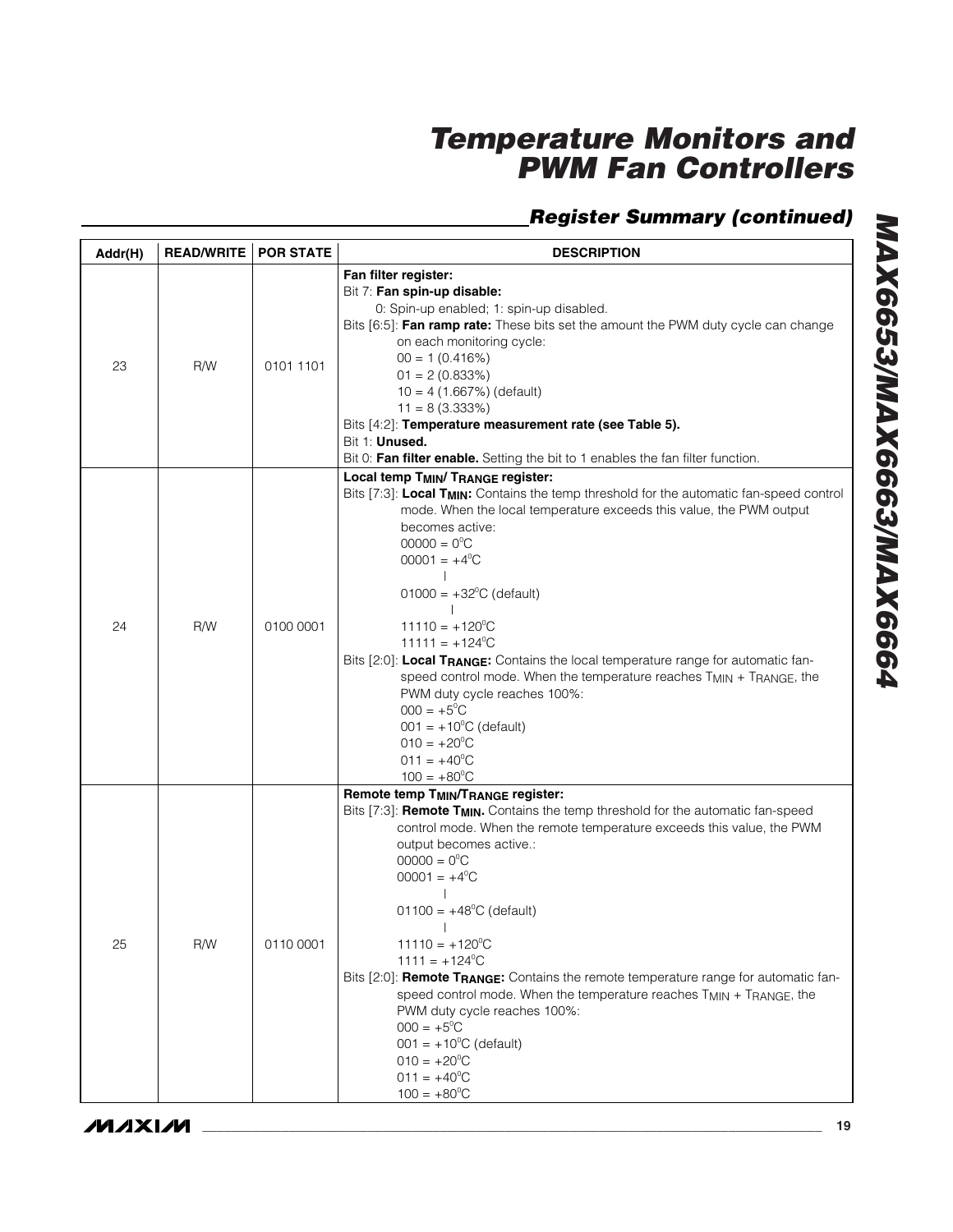| Addr(H) | <b>READ/WRITE</b> | <b>POR STATE</b> | <b>DESCRIPTION</b>                                                                                                                                                                                                                                                                                                                                                                                                                                                                                                                                                                                                                                                                                                                                                        |
|---------|-------------------|------------------|---------------------------------------------------------------------------------------------------------------------------------------------------------------------------------------------------------------------------------------------------------------------------------------------------------------------------------------------------------------------------------------------------------------------------------------------------------------------------------------------------------------------------------------------------------------------------------------------------------------------------------------------------------------------------------------------------------------------------------------------------------------------------|
| 23      | R/W               | 0101 1101        | Fan filter register:<br>Bit 7: Fan spin-up disable:<br>0: Spin-up enabled; 1: spin-up disabled.<br>Bits [6:5]: Fan ramp rate: These bits set the amount the PWM duty cycle can change<br>on each monitoring cycle:<br>$00 = 1(0.416%)$<br>$01 = 2(0.833%)$<br>$10 = 4 (1.667%)$ (default)<br>$11 = 8(3.333\%)$<br>Bits [4:2]: Temperature measurement rate (see Table 5).<br>Bit 1: Unused.<br>Bit 0: Fan filter enable. Setting the bit to 1 enables the fan filter function.                                                                                                                                                                                                                                                                                            |
| 24      | R/W               | 0100 0001        | Local temp T <sub>MIN</sub> / T <sub>RANGE</sub> register:<br>Bits [7:3]: Local T <sub>MIN</sub> : Contains the temp threshold for the automatic fan-speed control<br>mode. When the local temperature exceeds this value, the PWM output<br>becomes active:<br>$00000 = 0^{\circ}C$<br>$00001 = +4$ <sup>o</sup> C<br>$01000 = +32^{\circ}C$ (default)<br>$11110 = +120^{\circ}$ C<br>$11111 = +124^{\circ}$ C<br>Bits [2:0]: Local TRANGE: Contains the local temperature range for automatic fan-<br>speed control mode. When the temperature reaches TMIN + TRANGE, the<br>PWM duty cycle reaches 100%:<br>$000 = +5^{\circ}C$<br>$001 = +10^{\circ}C$ (default)<br>$010 = +20^{\circ}C$<br>$011 = +40^{\circ}C$<br>$100 = +80^{\circ}$ C                             |
| 25      | R/W               | 0110 0001        | Remote temp TMIN/TRANGE register:<br>Bits [7:3]: <b>Remote T<sub>MIN</sub>.</b> Contains the temp threshold for the automatic fan-speed<br>control mode. When the remote temperature exceeds this value, the PWM<br>output becomes active.:<br>$00000 = 0^{\circ}C$<br>$00001 = +4$ <sup>o</sup> C<br>$01100 = +48^{\circ}$ C (default)<br>$11110 = +120^{\circ}$ C<br>$1111 = +124^{\circ}C$<br>Bits [2:0]: <b>Remote T<sub>RANGE</sub>:</b> Contains the remote temperature range for automatic fan-<br>speed control mode. When the temperature reaches T <sub>MIN</sub> + T <sub>RANGE</sub> , the<br>PWM duty cycle reaches 100%:<br>$000 = +5^{\circ}C$<br>$001 = +10^{\circ}$ C (default)<br>$010 = +20^{\circ}C$<br>$011 = +40^{\circ}C$<br>$100 = +80^{\circ}$ C |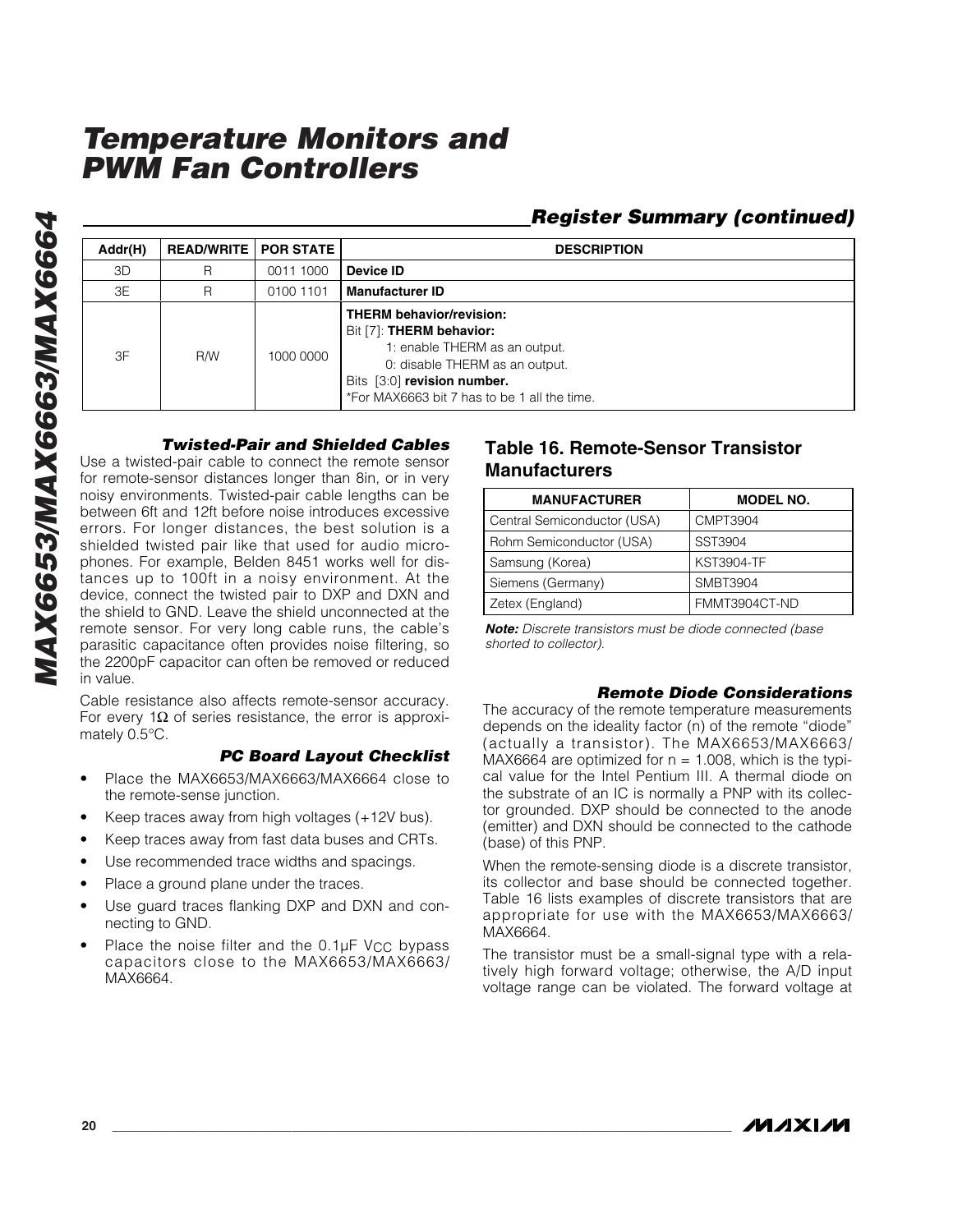#### Addr(H) READ/WRITE POR STATE **DESCRIPTION** 3D R 0011 1000 **Device ID** 3E R 0100 1101 **Manufacturer ID** 3F R/W 1000 0000 **THERM behavior/revision:** Bit [7]: **THERM behavior:** 1: enable THERM as an output. 0: disable THERM as an output. Bits [3:0] **revision number.** \*For MAX6663 bit 7 has to be 1 all the time.

#### *Twisted-Pair and Shielded Cables*

Use a twisted-pair cable to connect the remote sensor for remote-sensor distances longer than 8in, or in very noisy environments. Twisted-pair cable lengths can be between 6ft and 12ft before noise introduces excessive errors. For longer distances, the best solution is a shielded twisted pair like that used for audio microphones. For example, Belden 8451 works well for distances up to 100ft in a noisy environment. At the device, connect the twisted pair to DXP and DXN and the shield to GND. Leave the shield unconnected at the remote sensor. For very long cable runs, the cable ' s parasitic capacitance often provides noise filtering, so the 2200pF capacitor can often be removed or reduced in value.

Cable resistance also affects remote-sensor accuracy. For every 1 $\Omega$  of series resistance, the error is approximately 0.5°C.

#### *PC Board Layout Checklist*

- Place the MAX6653/MAX6663/MAX6664 close to the remote-sense junction.
- Keep traces away from high voltages (+12V bus).
- Keep traces away from fast data buses and CRTs.
- Use recommended trace widths and spacings.
- Place a ground plane under the traces.
- Use guard traces flanking DXP and DXN and connecting to GND.
- Place the noise filter and the  $0.1 \mu$ F V<sub>CC</sub> bypass capacitors close to the MAX6653/MAX6663/ MAX6664.

#### **Table 16. Remote-Sensor Transistor Manufacturers**

| <b>MANUFACTURER</b>         | <b>MODEL NO.</b>  |
|-----------------------------|-------------------|
| Central Semiconductor (USA) | <b>CMPT3904</b>   |
| Rohm Semiconductor (USA)    | SST3904           |
| Samsung (Korea)             | <b>KST3904-TF</b> |
| Siemens (Germany)           | <b>SMBT3904</b>   |
| Zetex (England)             | FMMT3904CT-ND     |

*Register Summary (continued)*

*Note: Discrete transistors must be diode connected (base shorted to collector).*

#### *Remote Diode Considerations*

The accuracy of the remote temperature measurements depends on the ideality factor (n) of the remote "diode " (actually a transistor). The MAX6653/MAX6663/ MAX6664 are optimized for  $n = 1.008$ , which is the typical value for the Intel Pentium III. A thermal diode on the substrate of an IC is normally a PNP with its collector grounded. DXP should be connected to the anode (emitter) and DXN should be connected to the cathode (base) of this PNP.

When the remote-sensing diode is a discrete transistor, its collector and base should be connected together. Table 16 lists examples of discrete transistors that are appropriate for use with the MAX6653/MAX6663/ MAX6664.

The transistor must be a small-signal type with a relatively high forward voltage; otherwise, the A/D input voltage range can be violated. The forward voltage at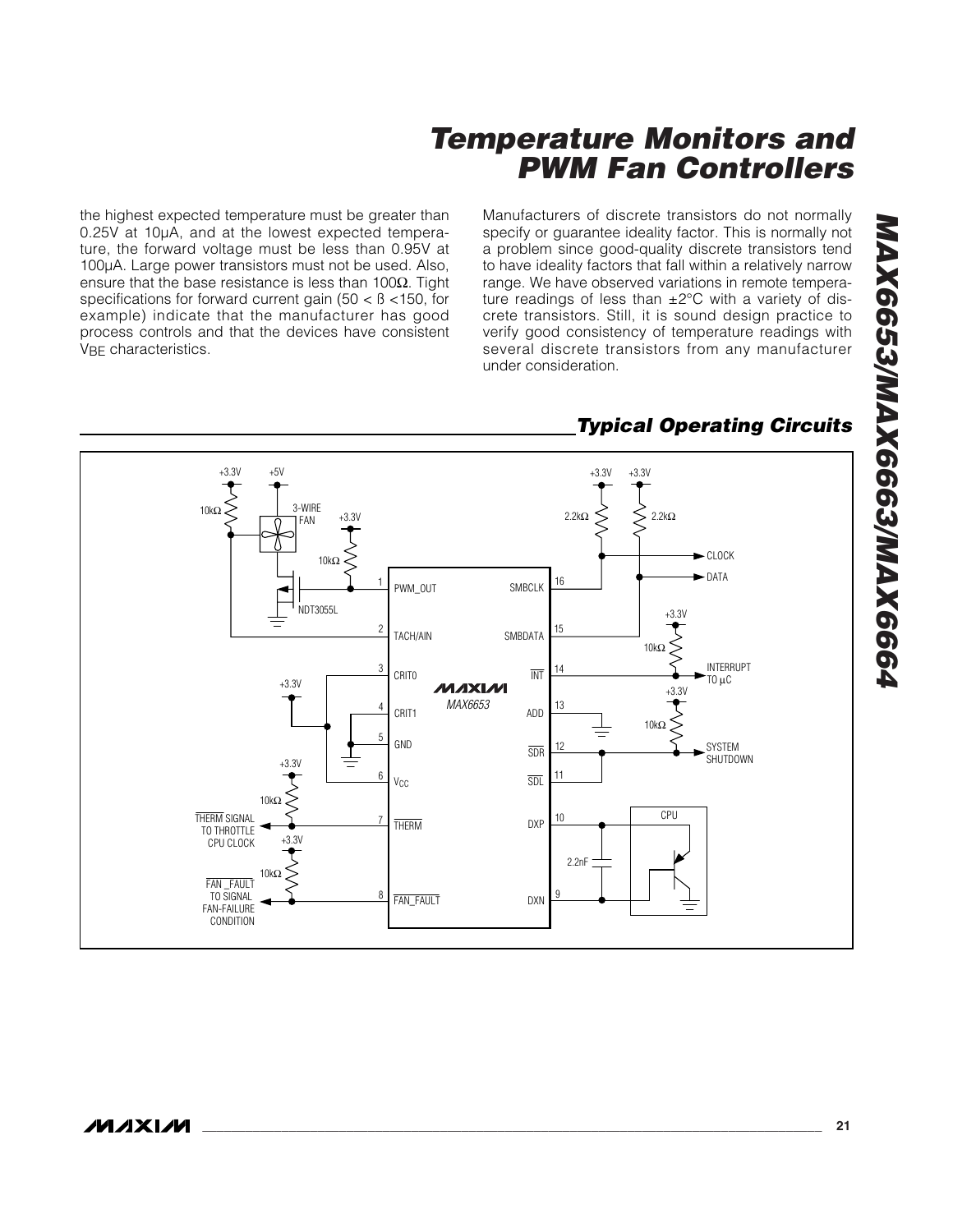the highest expected temperature must be greater than 0.25V at 10µA, and at the lowest expected temperature, the forward voltage must be less than 0.95V at 100µA. Large power transistors must not be used. Also, ensure that the base resistance is less than 100 $\Omega$ . Tight specifications for forward current gain (50 < ß <150, for example) indicate that the manufacturer has good process controls and that the devices have consistent V<sub>BF</sub> characteristics.

Manufacturers of discrete transistors do not normally specify or guarantee ideality factor. This is normally not a problem since good-quality discrete transistors tend to have ideality factors that fall within a relatively narrow range. We have observed variations in remote temperature readings of less than  $\pm 2^{\circ}$ C with a variety of discrete transistors. Still, it is sound design practice to verify good consistency of temperature readings with several discrete transistors from any manufacturer under consideration.



### *Typical Operating Circuits*

*MAX6653/MAX6663/MAX6664*

MAX6653/MAX6663/MAX6664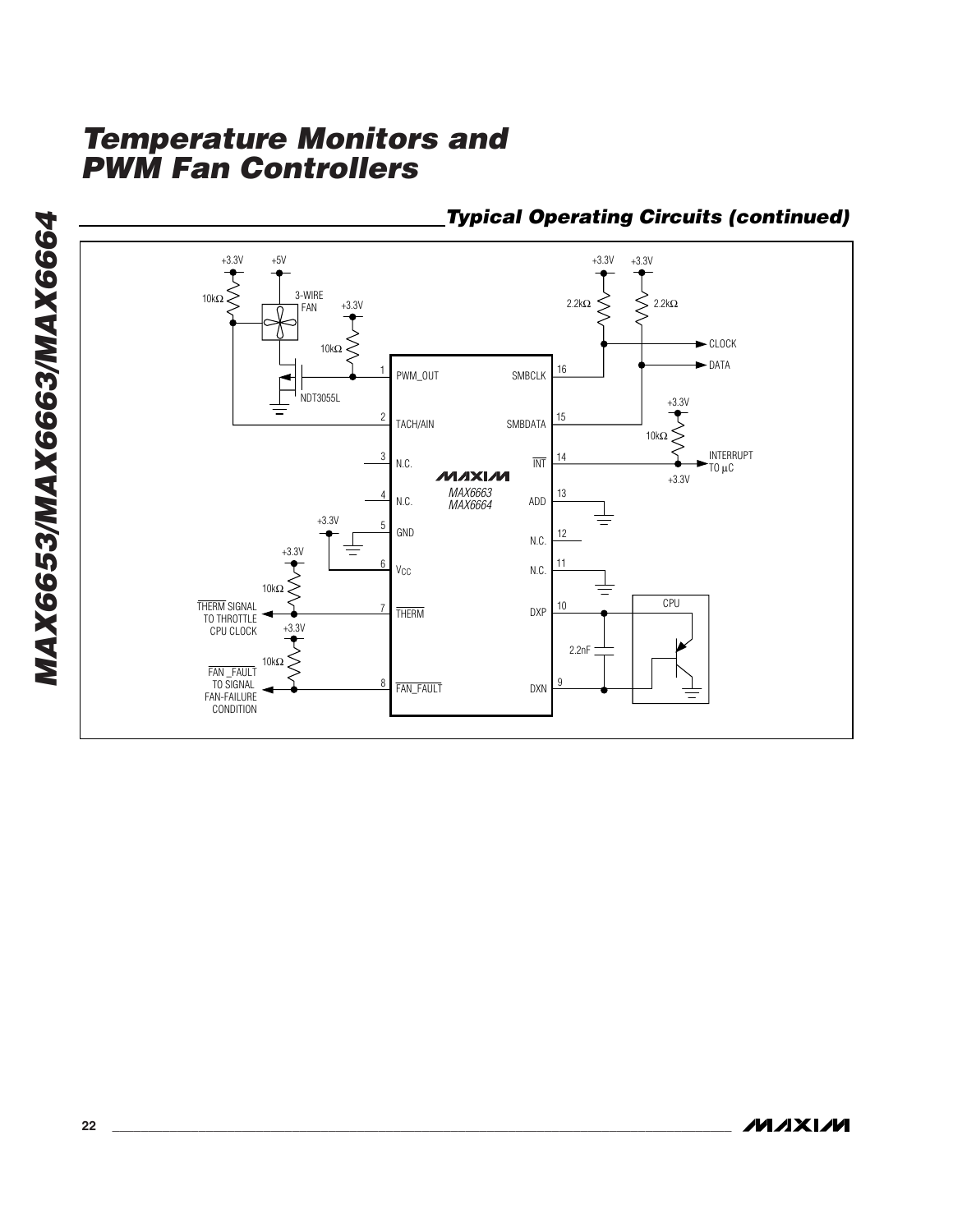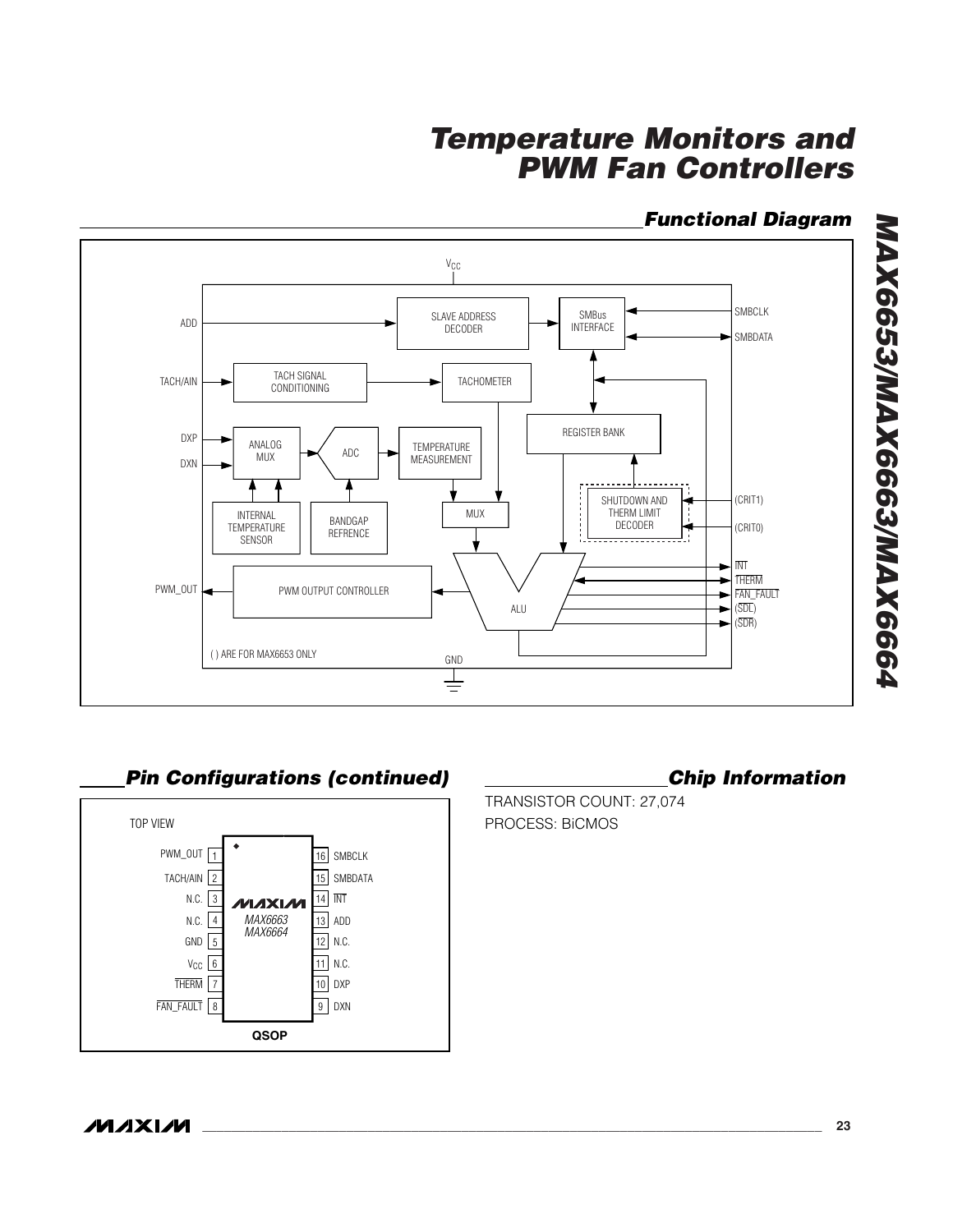### *Functional Diagram*



**Pin Configurations (continued) Chip Information** 



TRANSISTOR COUNT: 27,074 PROCESS: BiCMOS